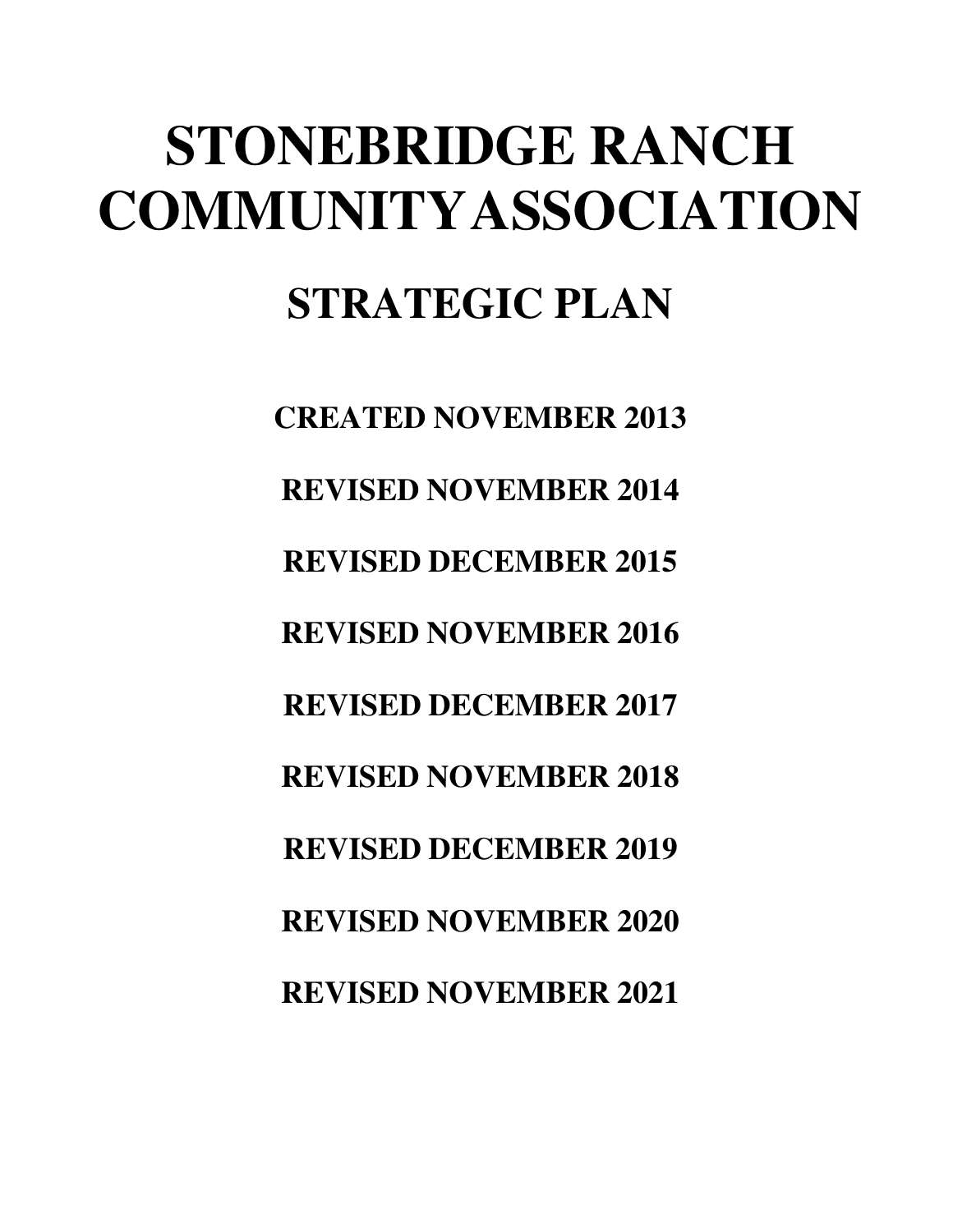# **STONEBRIDGE RANCH COMMUNITY ASSOCIATION STRATEGIC PLAN**

**CREATED NOVEMBER 2013 REVISED NOVEMBER 2014 REVISED DECEMBER 2015 REVISED NOVEMBER 2016 REVISED DECEMBER 2017 REVISED NOVEMBER 2018 REVISED DECEMBER 2019 REVISED NOVEMBER 2020 REVISED NOVEMBER 2021**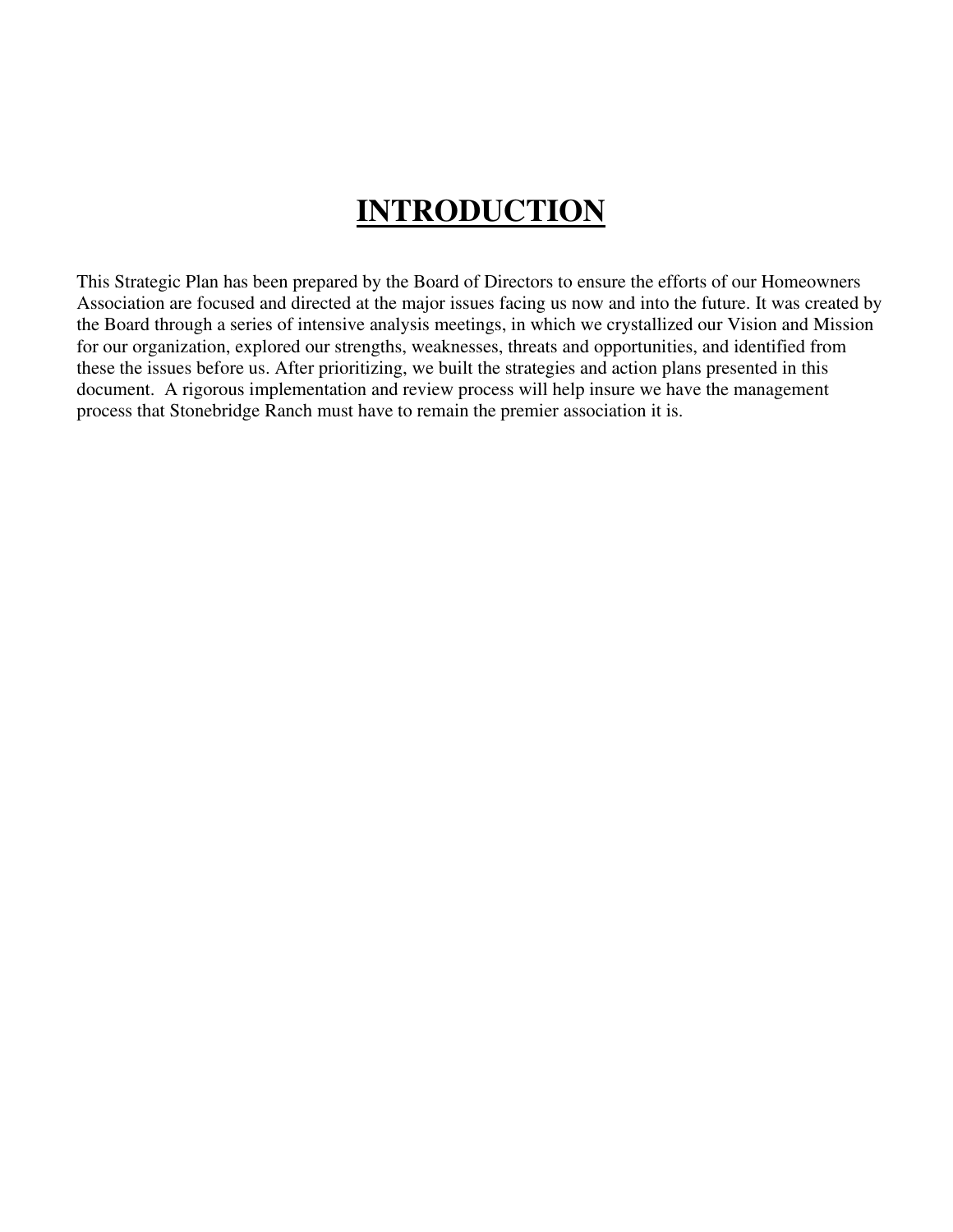### **INTRODUCTION**

This Strategic Plan has been prepared by the Board of Directors to ensure the efforts of our Homeowners Association are focused and directed at the major issues facing us now and into the future. It was created by the Board through a series of intensive analysis meetings, in which we crystallized our Vision and Mission for our organization, explored our strengths, weaknesses, threats and opportunities, and identified from these the issues before us. After prioritizing, we built the strategies and action plans presented in this document. A rigorous implementation and review process will help insure we have the management process that Stonebridge Ranch must have to remain the premier association it is.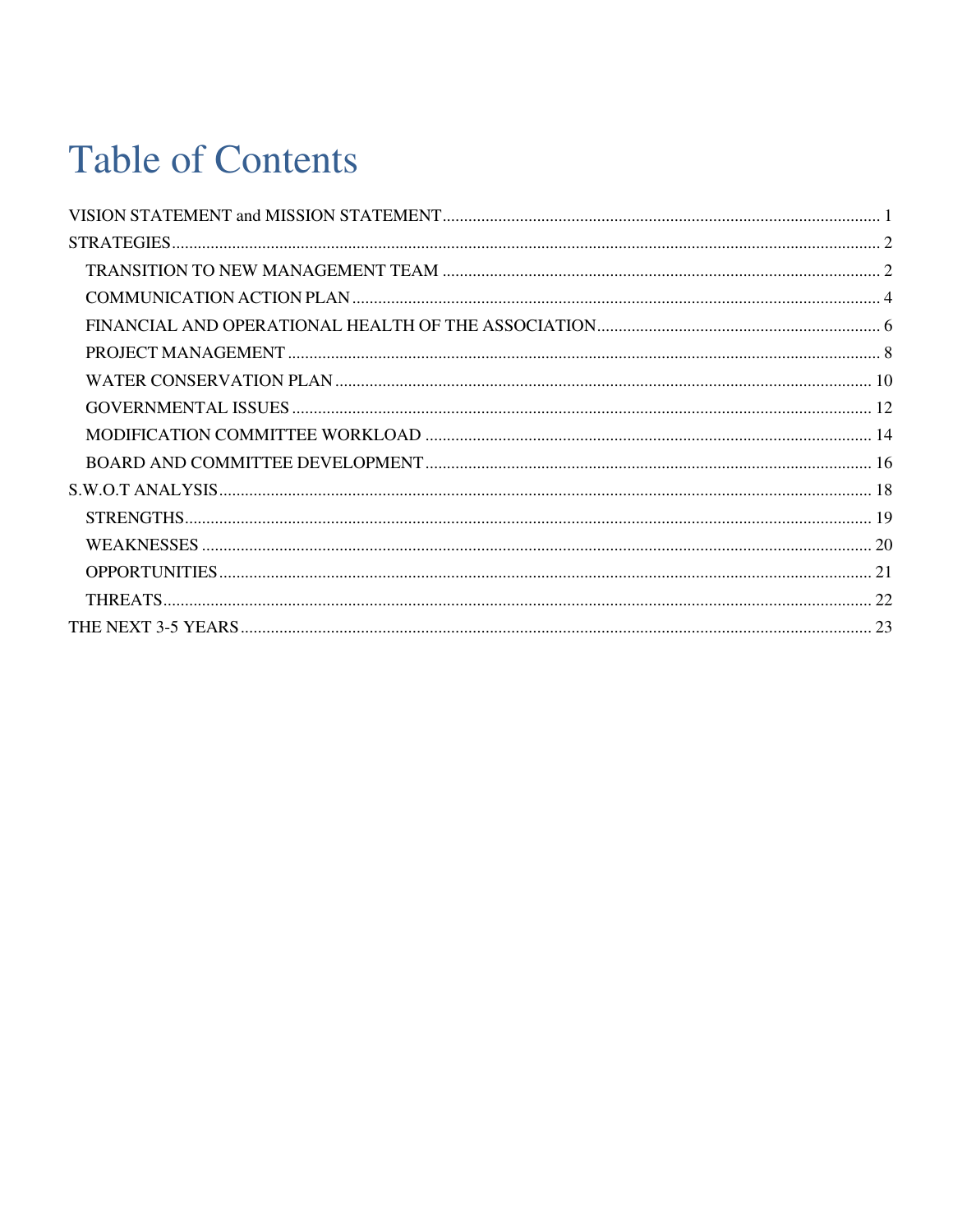## **Table of Contents**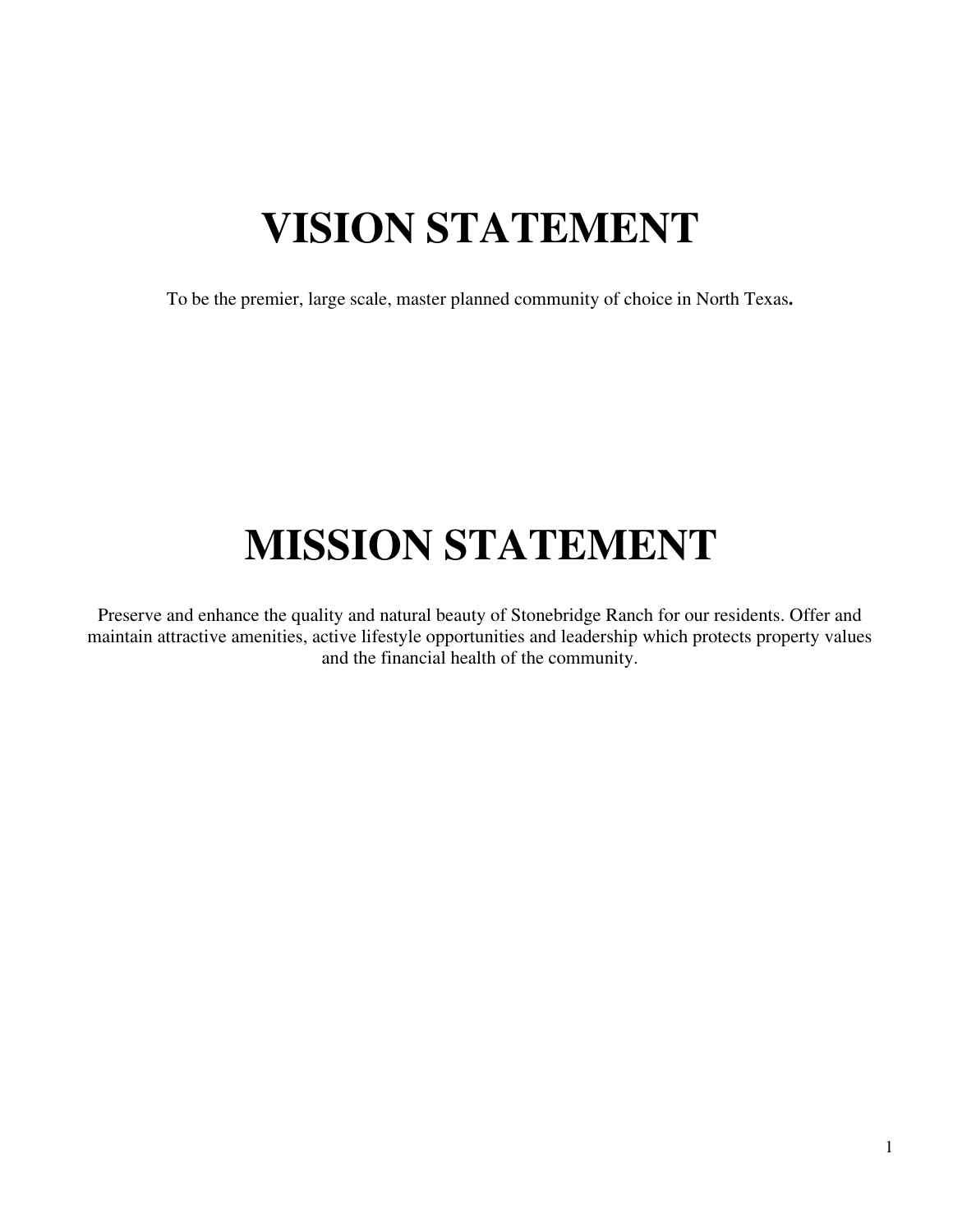## **VISION STATEMENT**

<span id="page-3-0"></span>To be the premier, large scale, master planned community of choice in North Texas**.** 

## **MISSION STATEMENT**

Preserve and enhance the quality and natural beauty of Stonebridge Ranch for our residents. Offer and maintain attractive amenities, active lifestyle opportunities and leadership which protects property values and the financial health of the community.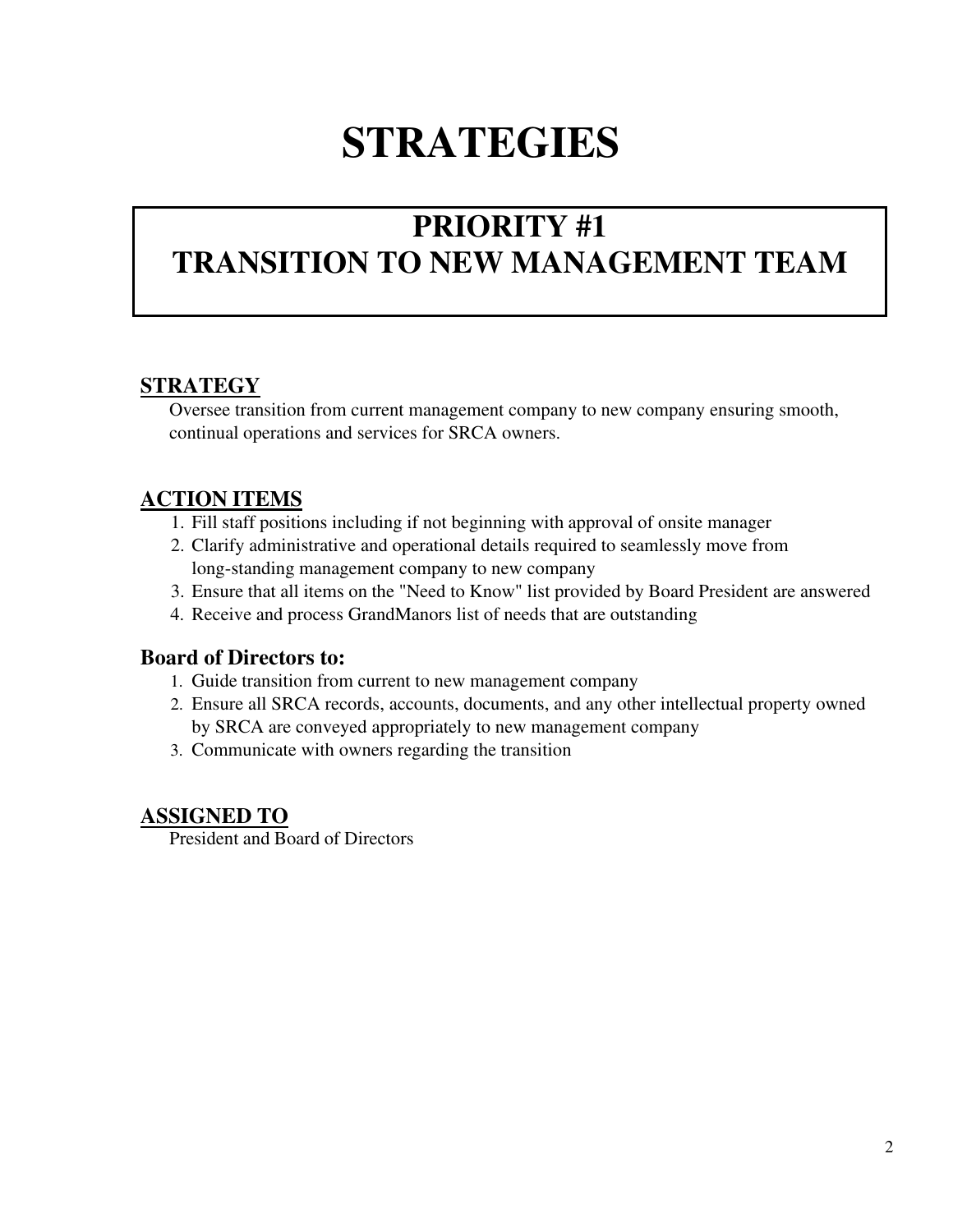## **STRATEGIES**

### <span id="page-4-0"></span>**PRIORITY #1 TRANSITION TO NEW MANAGEMENT TEAM**

#### **STRATEGY**

Oversee transition from current management company to new company ensuring smooth, continual operations and services for SRCA owners.

#### **ACTION ITEMS**

- 1. Fill staff positions including if not beginning with approval of onsite manager
- 2. Clarify administrative and operational details required to seamlessly move from long- standing management company to new company
- 3. Ensure that all items on the "Need to Know" list provided by Board President are answered
- 4. Receive and process GrandManors list of needs that are outstanding

#### **Board of Directors to:**

- 1. Guide transition from current to new management company
- 2. Ensure all SRCA records, accounts, documents, and any other intellectual property owned by SRCA are conveyed appropriately to new management company
- 3. Communicate with owners regarding the transition

#### **ASSIGNED TO**

President and Board of Directors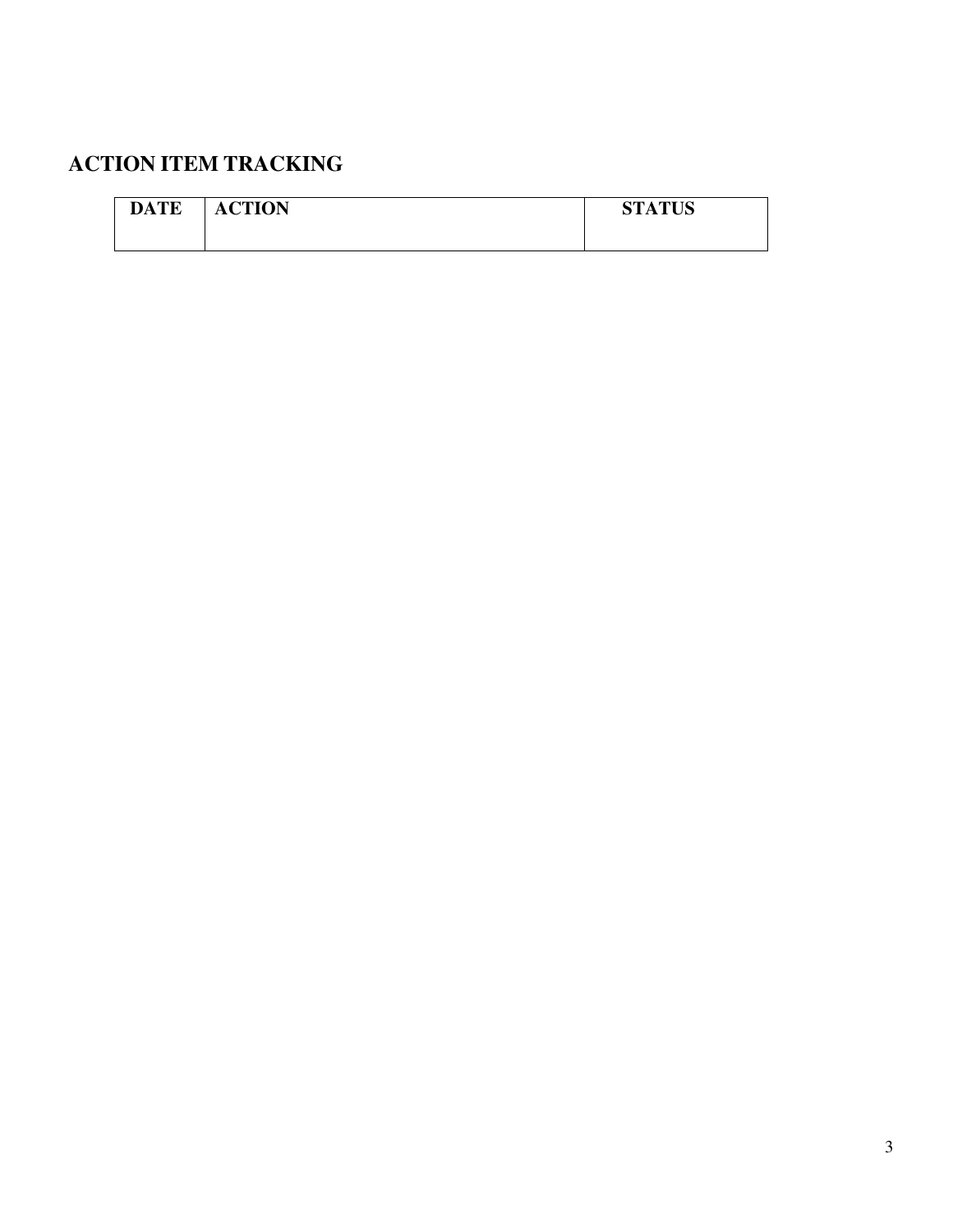| <b>DATE</b> | <b>ACTION</b> | <b>STATUS</b> |
|-------------|---------------|---------------|
|             |               |               |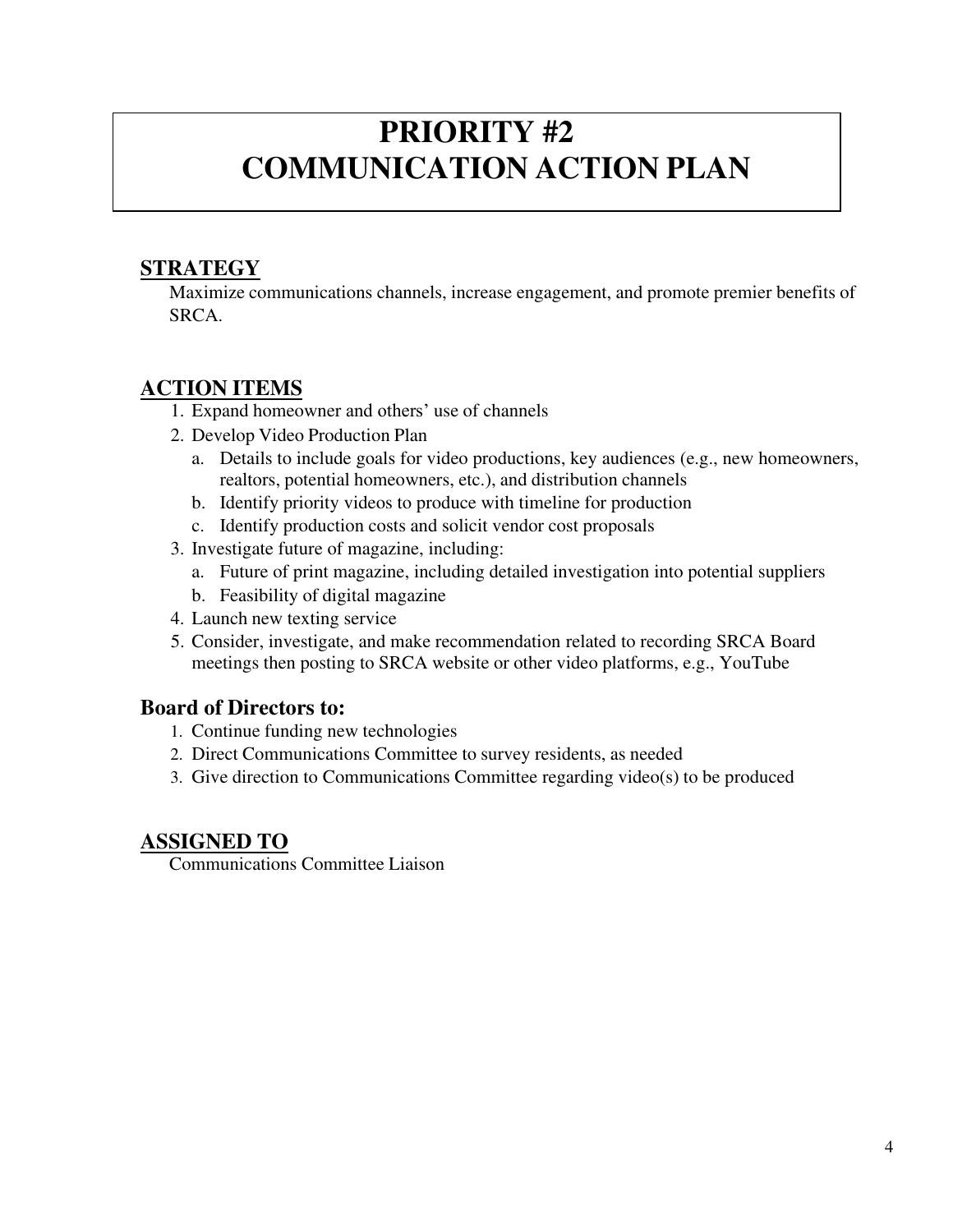### **PRIORITY #2 COMMUNICATION ACTION PLAN**

#### **STRATEGY**

Maximize communications channels, increase engagement, and promote premier benefits of SRCA.

#### **ACTION ITEMS**

- 1. Expand homeowner and others' use of channels
- 2. Develop Video Production Plan
	- a. Details to include goals for video productions, key audiences (e.g., new homeowners, realtors, potential homeowners, etc.), and distribution channels
	- b. Identify priority videos to produce with timeline for production
	- c. Identify production costs and solicit vendor cost proposals
- 3. Investigate future of magazine, including:
	- a. Future of print magazine, including detailed investigation into potential suppliers
	- b. Feasibility of digital magazine
- 4. Launch new texting service
- 5. Consider, investigate, and make recommendation related to recording SRCA Board meetings then posting to SRCA website or other video platforms, e.g., YouTube

#### **Board of Directors to:**

- 1. Continue funding new technologies
- 2. Direct Communications Committee to survey residents, as needed
- 3. Give direction to Communications Committee regarding video(s) to be produced

#### **ASSIGNED TO**

Communications Committee Liaison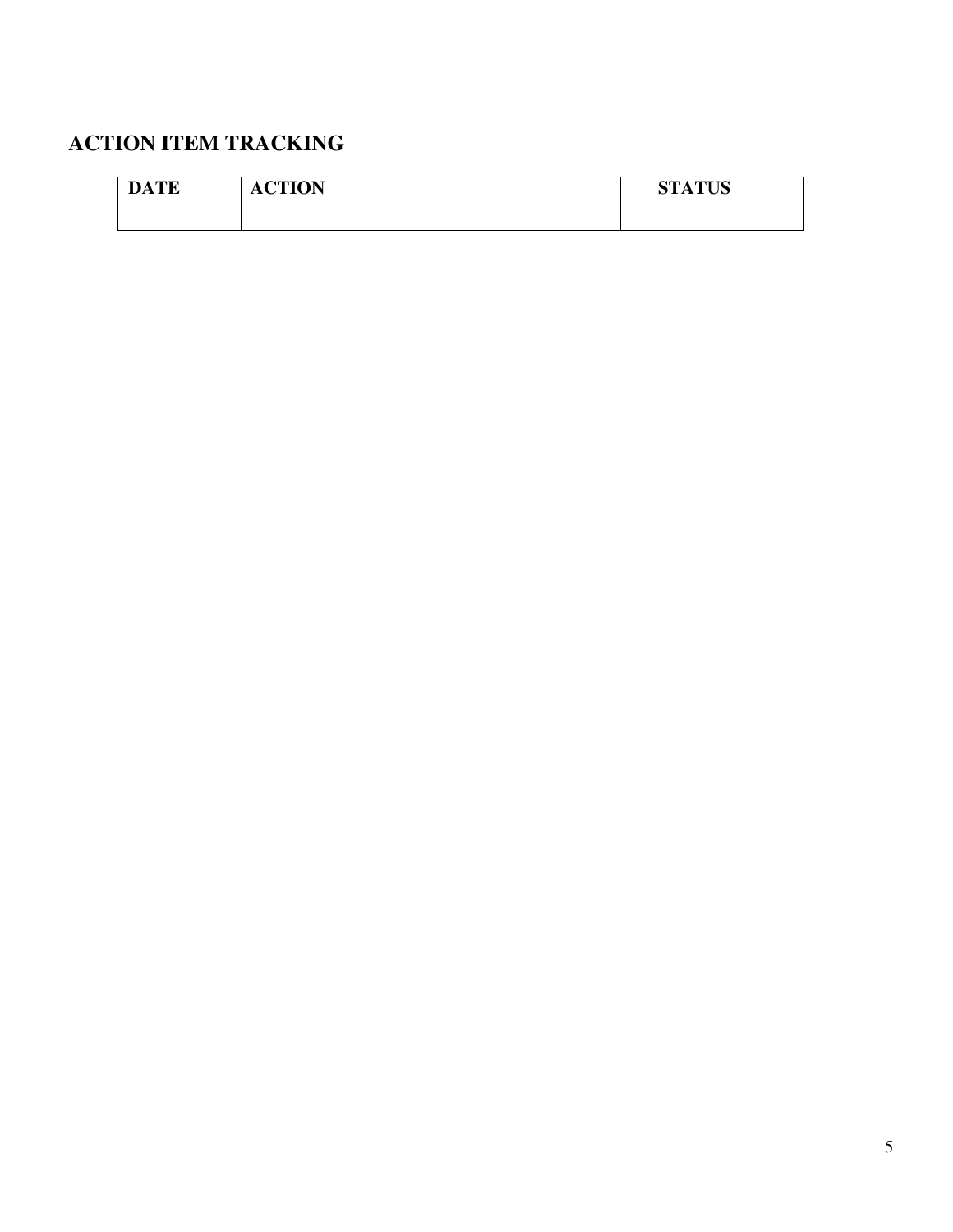| <b>DATE</b> | <b>ACTION</b> | <b>STATUS</b> |
|-------------|---------------|---------------|
|             |               |               |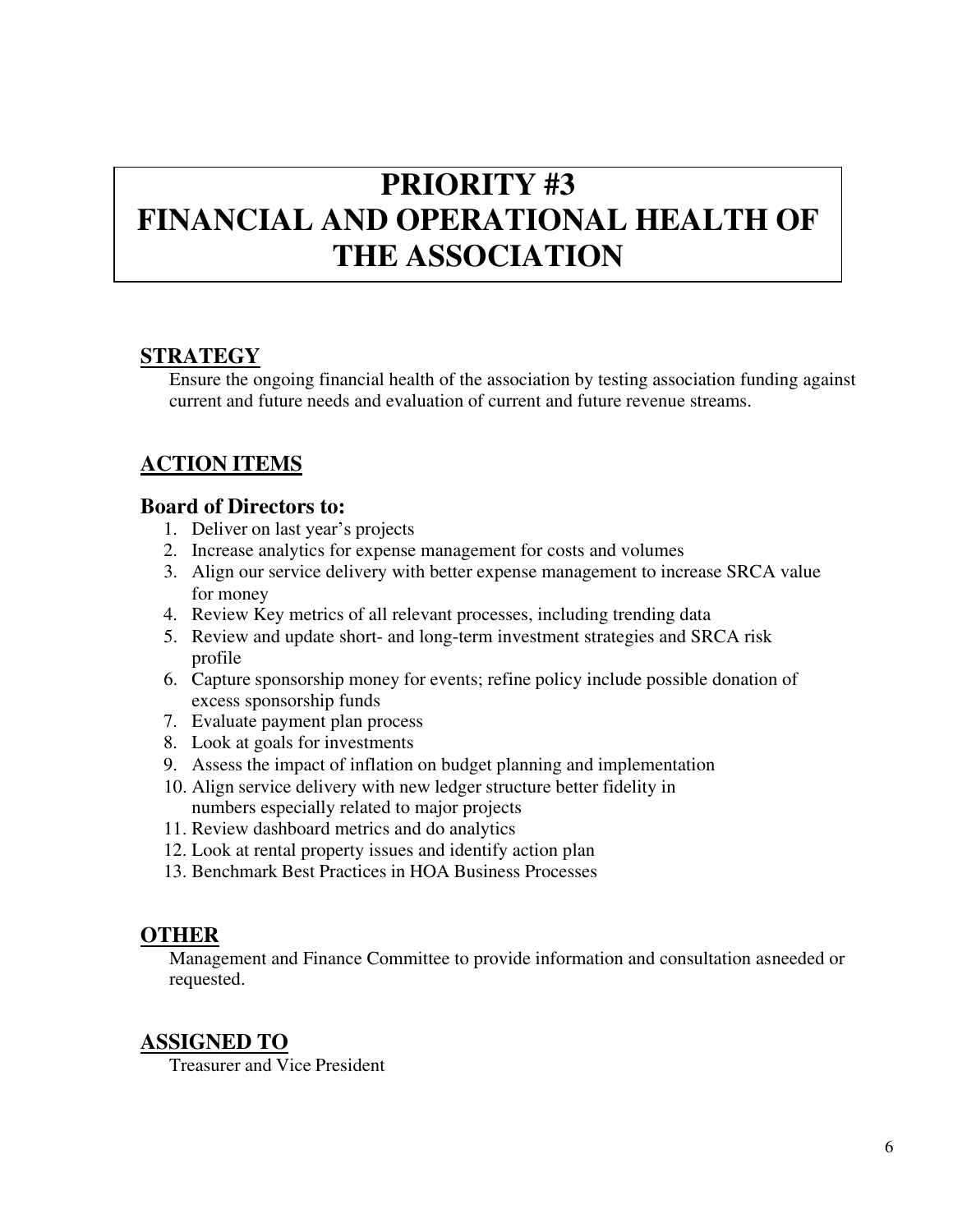### **PRIORITY #3 FINANCIAL AND OPERATIONAL HEALTH OF THE ASSOCIATION**

#### **STRATEGY**

Ensure the ongoing financial health of the association by testing association funding against current and future needs and evaluation of current and future revenue streams.

#### **ACTION ITEMS**

#### **Board of Directors to:**

- 1. Deliver on last year's projects
- 2. Increase analytics for expense management for costs and volumes
- 3. Align our service delivery with better expense management to increase SRCA value for money
- 4. Review Key metrics of all relevant processes, including trending data
- 5. Review and update short- and long-term investment strategies and SRCA risk profile
- 6. Capture sponsorship money for events; refine policy include possible donation of excess sponsorship funds
- 7. Evaluate payment plan process
- 8. Look at goals for investments
- 9. Assess the impact of inflation on budget planning and implementation
- 10. Align service delivery with new ledger structure better fidelity in numbers especially related to major projects
- 11. Review dashboard metrics and do analytics
- 12. Look at rental property issues and identify action plan
- 13. Benchmark Best Practices in HOA Business Processes

#### **OTHER**

Management and Finance Committee to provide information and consultation as needed or requested.

#### **ASSIGNED TO**

Treasurer and Vice President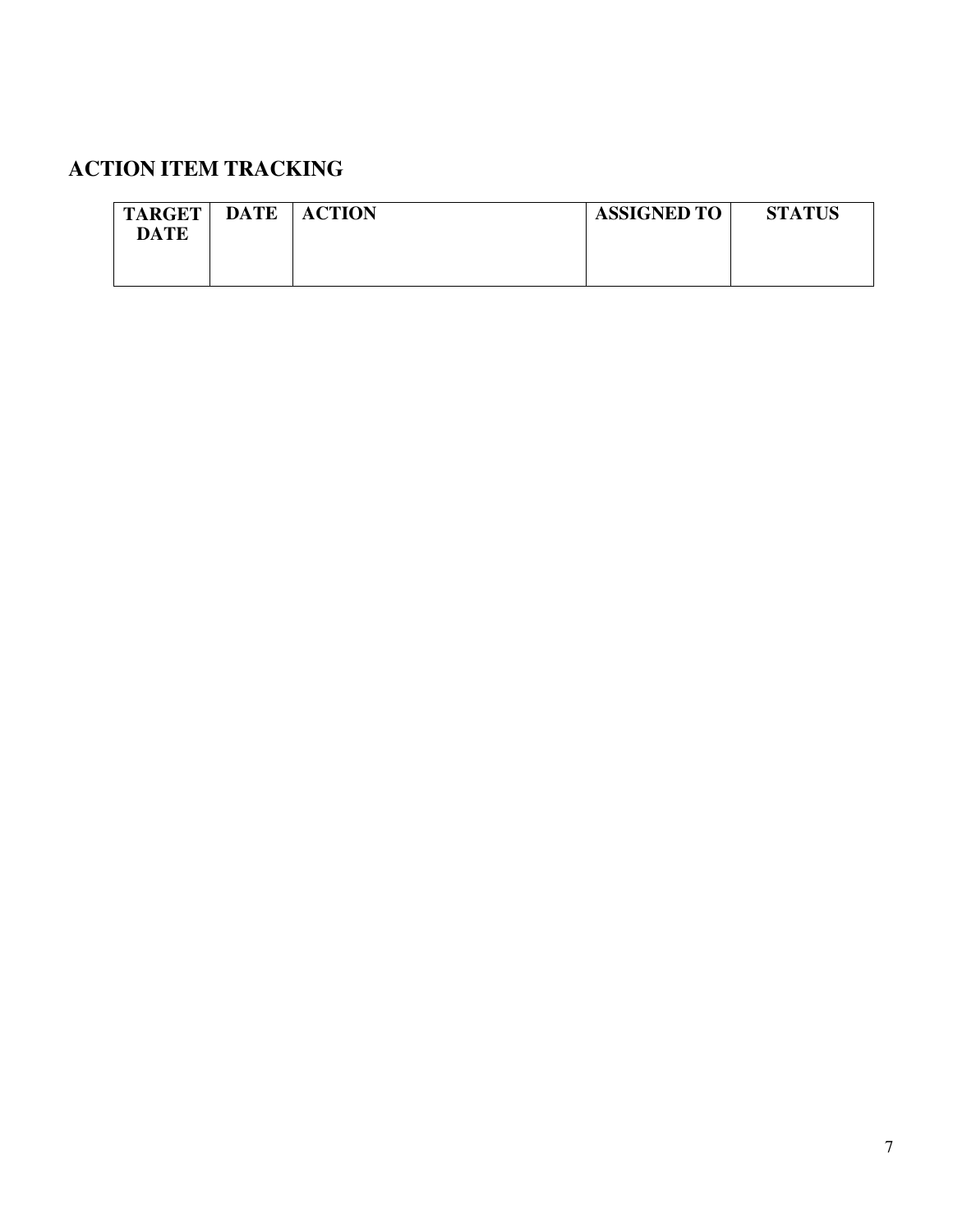| <b>TARGET</b><br><b>DATE</b> | <b>DATE</b> | <b>ACTION</b> | <b>ASSIGNED TO</b> | <b>STATUS</b> |
|------------------------------|-------------|---------------|--------------------|---------------|
|                              |             |               |                    |               |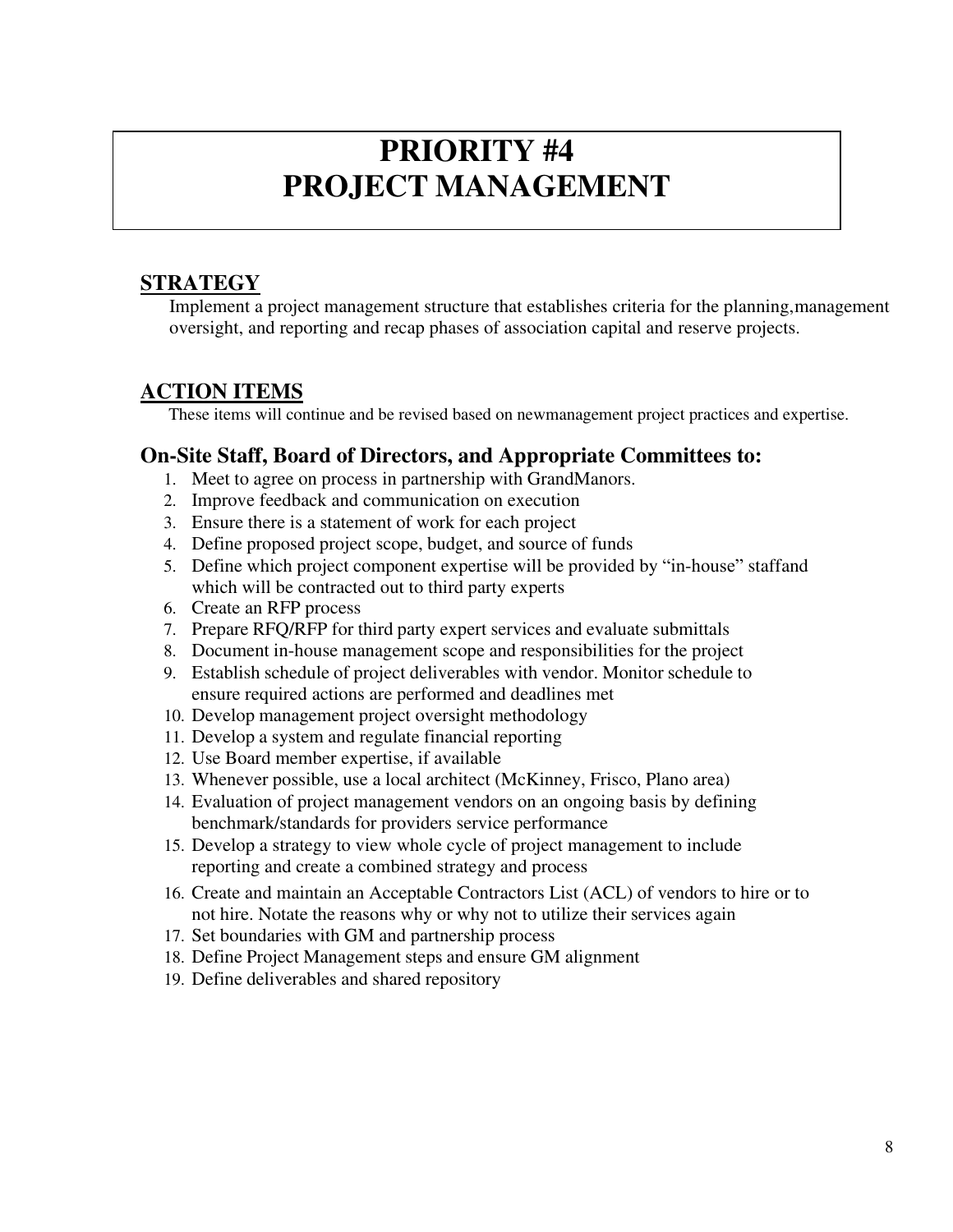### **PRIORITY #4 PROJECT MANAGEMENT**

#### **STRATEGY**

Implement a project management structure that establishes criteria for the planning, management oversight, and reporting and recap phases of association capital and reserve projects.

#### **ACTION ITEMS**

These items will continue and be revised based on new management project practices and expertise.

#### **On-Site Staff, Board of Directors, and Appropriate Committees to:**

- 1. Meet to agree on process in partnership with GrandManors.
- 2. Improve feedback and communication on execution
- 3. Ensure there is a statement of work for each project
- 4. Define proposed project scope, budget, and source of funds
- 5. Define which project component expertise will be provided by "in-house" staff and which will be contracted out to third party experts
- 6. Create an RFP process
- 7. Prepare RFQ/RFP for third party expert services and evaluate submittals
- 8. Document in-house management scope and responsibilities for the project
- 9. Establish schedule of project deliverables with vendor. Monitor schedule to ensure required actions are performed and deadlines met
- 10. Develop management project oversight methodology
- 11. Develop a system and regulate financial reporting
- 12. Use Board member expertise, if available
- 13. Whenever possible, use a local architect (McKinney, Frisco, Plano area)
- 14. Evaluation of project management vendors on an ongoing basis by defining benchmark/standards for providers service performance
- 15. Develop a strategy to view whole cycle of project management to include reporting and create a combined strategy and process
- 16. Create and maintain an Acceptable Contractors List (ACL) of vendors to hire or to not hire. Notate the reasons why or why not to utilize their services again
- 17. Set boundaries with GM and partnership process
- 18. Define Project Management steps and ensure GM alignment
- 19. Define deliverables and shared repository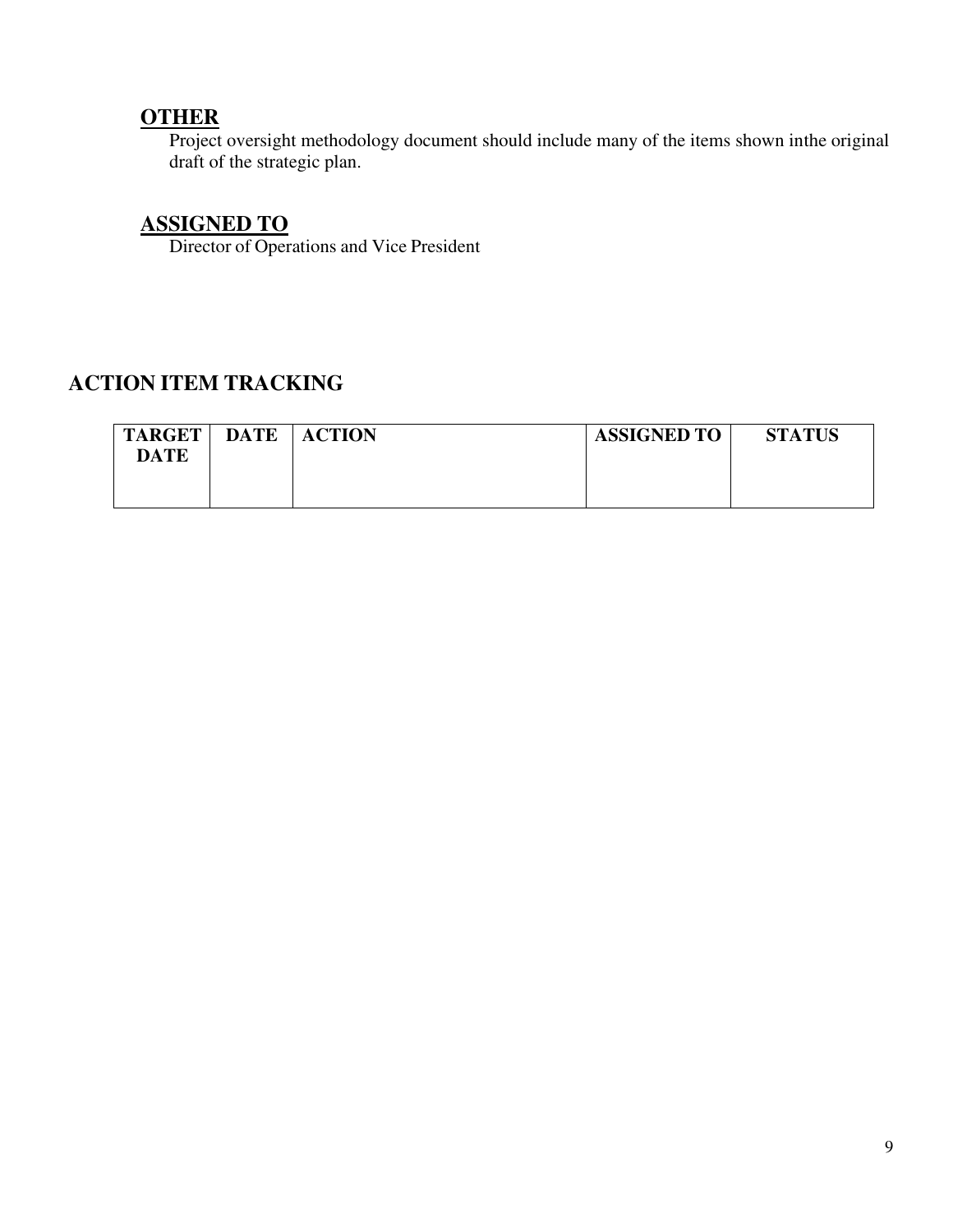#### **OTHER**

Project oversight methodology document should include many of the items shown in the original draft of the strategic plan.

#### **ASSIGNED TO**

Director of Operations and Vice President

| <b>TARGET</b><br><b>DATE</b> | <b>DATE</b> | <b>ACTION</b> | <b>ASSIGNED TO</b> | <b>STATUS</b> |
|------------------------------|-------------|---------------|--------------------|---------------|
|                              |             |               |                    |               |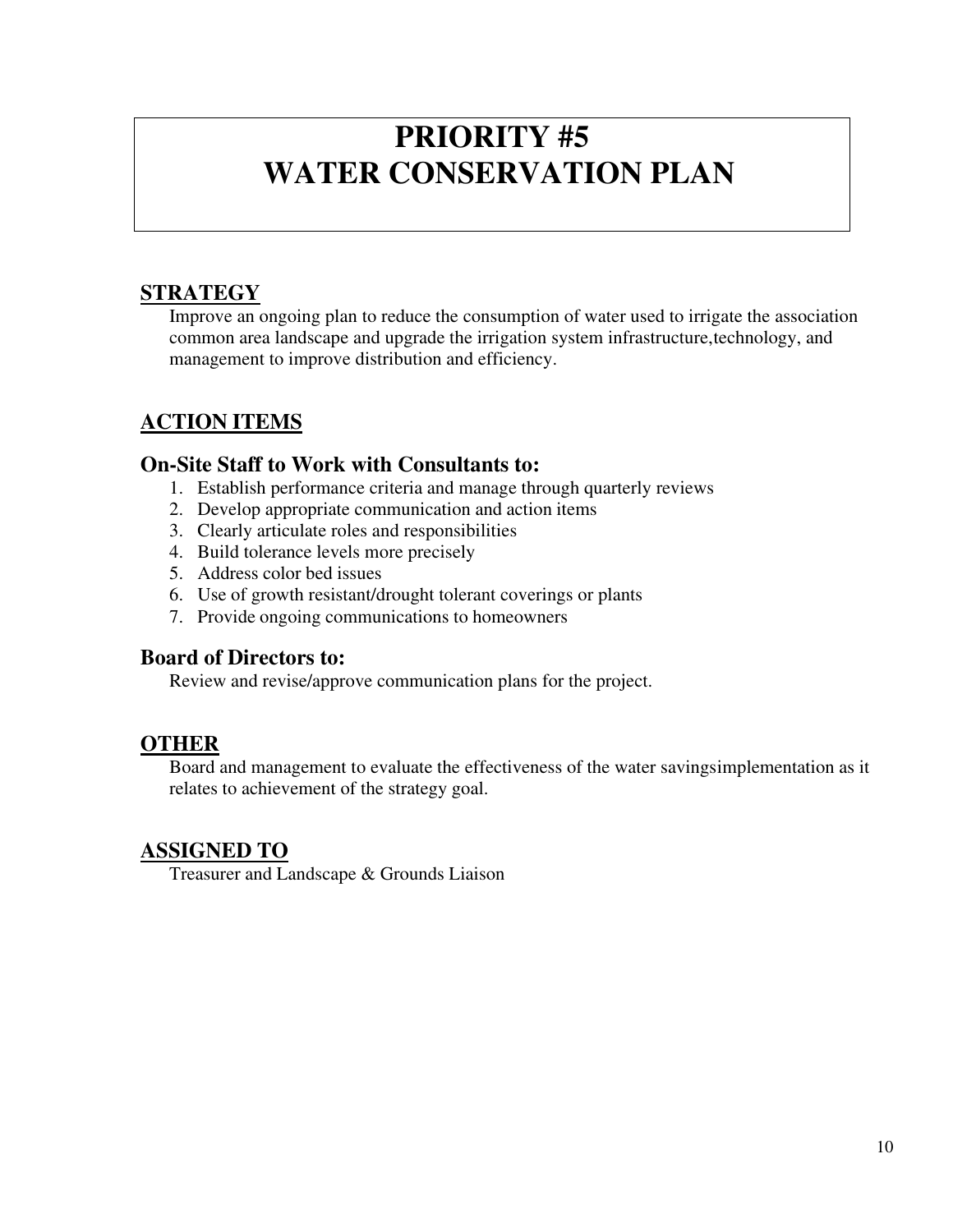### **PRIORITY #5 WATER CONSERVATION PLAN**

#### **STRATEGY**

Improve an ongoing plan to reduce the consumption of water used to irrigate the association common area landscape and upgrade the irrigation system infrastructure, technology, and management to improve distribution and efficiency.

#### **ACTION ITEMS**

#### **On-Site Staff to Work with Consultants to:**

- 1. Establish performance criteria and manage through quarterly reviews
- 2. Develop appropriate communication and action items
- 3. Clearly articulate roles and responsibilities
- 4. Build tolerance levels more precisely
- 5. Address color bed issues
- 6. Use of growth resistant/drought tolerant coverings or plants
- 7. Provide ongoing communications to homeowners

#### **Board of Directors to:**

Review and revise/approve communication plans for the project.

#### **OTHER**

Board and management to evaluate the effectiveness of the water saving simplementation as it relates to achievement of the strategy goal.

#### **ASSIGNED TO**

Treasurer and Landscape & Grounds Liaison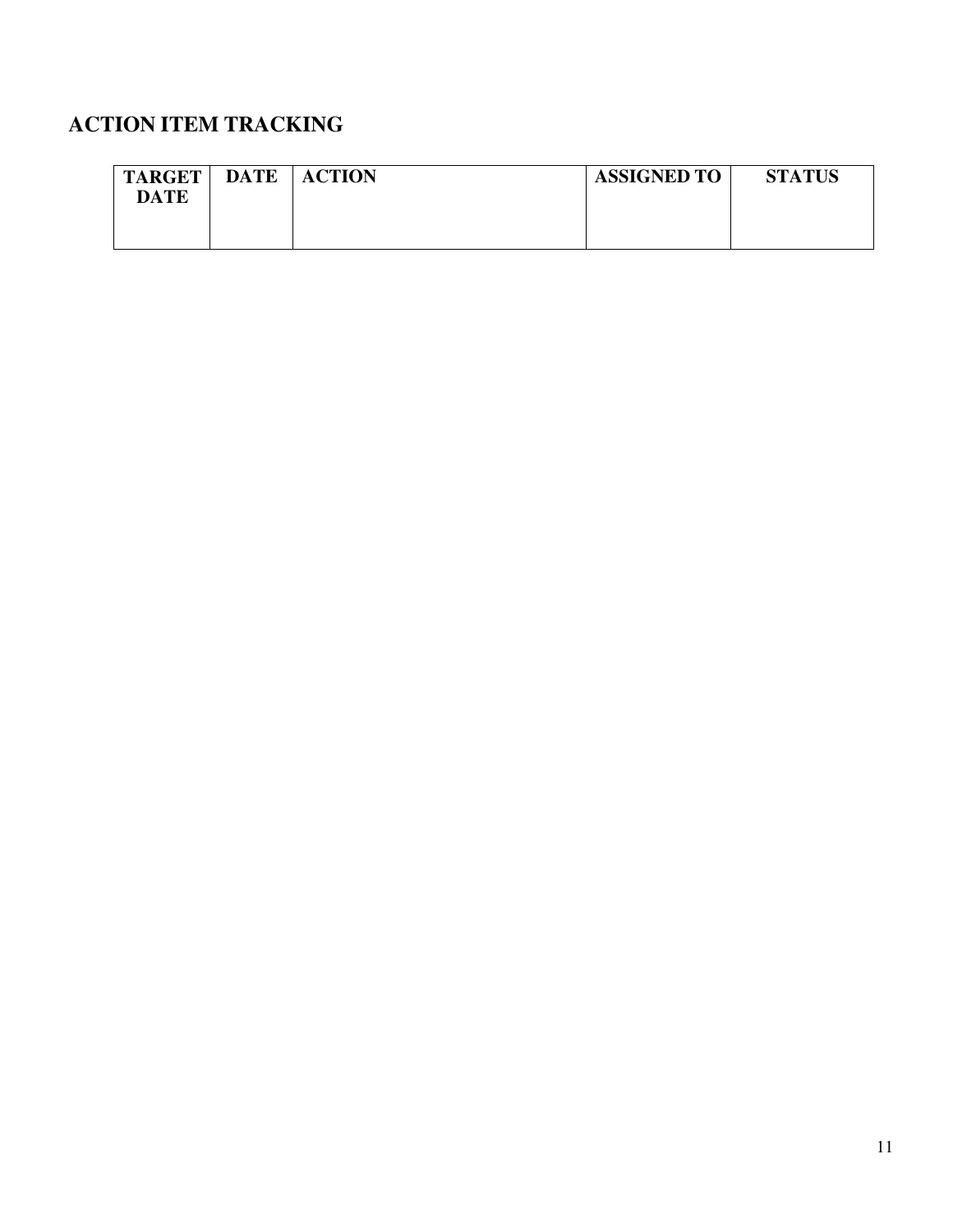| <b>TARGET</b> | <b>DATE</b> | <b>ACTION</b> | <b>ASSIGNED TO</b> | <b>STATUS</b> |
|---------------|-------------|---------------|--------------------|---------------|
| <b>DATE</b>   |             |               |                    |               |
|               |             |               |                    |               |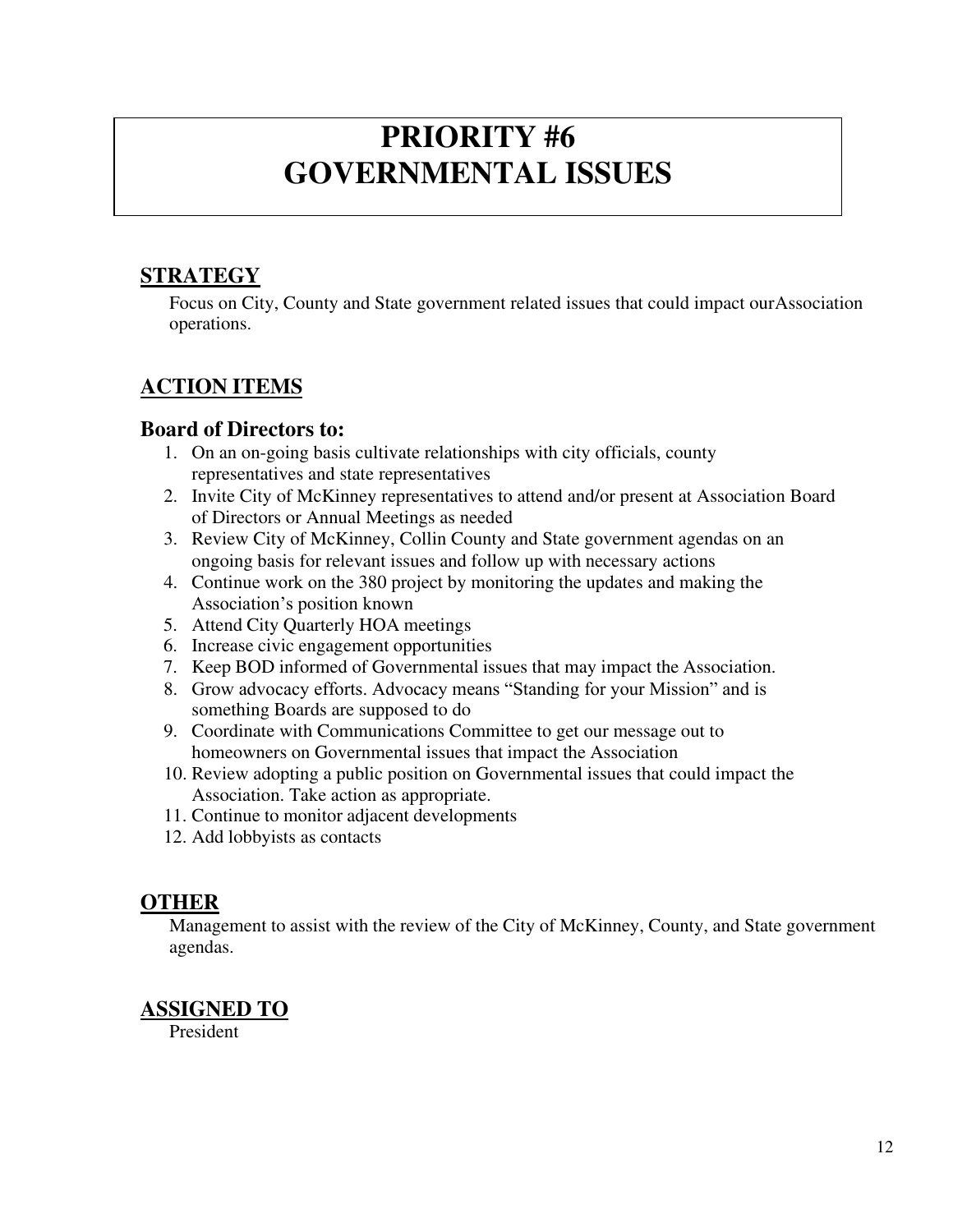### **PRIORITY #6 GOVERNMENTAL ISSUES**

#### **STRATEGY**

Focus on City, County and State government related issues that could impact our Association operations.

#### **ACTION ITEMS**

#### **Board of Directors to:**

- 1. On an on-going basis cultivate relationships with city officials, county representatives and state representatives
- 2. Invite City of McKinney representatives to attend and/or present at Association Board of Directors or Annual Meetings as needed
- 3. Review City of McKinney, Collin County and State government agendas on an ongoing basis for relevant issues and follow up with necessary actions
- 4. Continue work on the 380 project by monitoring the updates and making the Association's position known
- 5. Attend City Quarterly HOA meetings
- 6. Increase civic engagement opportunities
- 7. Keep BOD informed of Governmental issues that may impact the Association.
- 8. Grow advocacy efforts. Advocacy means "Standing for your Mission" and is something Boards are supposed to do
- 9. Coordinate with Communications Committee to get our message out to homeowners on Governmental issues that impact the Association
- 10. Review adopting a public position on Governmental issues that could impact the Association. Take action as appropriate.
- 11. Continue to monitor adjacent developments
- 12. Add lobbyists as contacts

#### **OTHER**

Management to assist with the review of the City of McKinney, County, and State government agendas.

#### **ASSIGNED TO**

President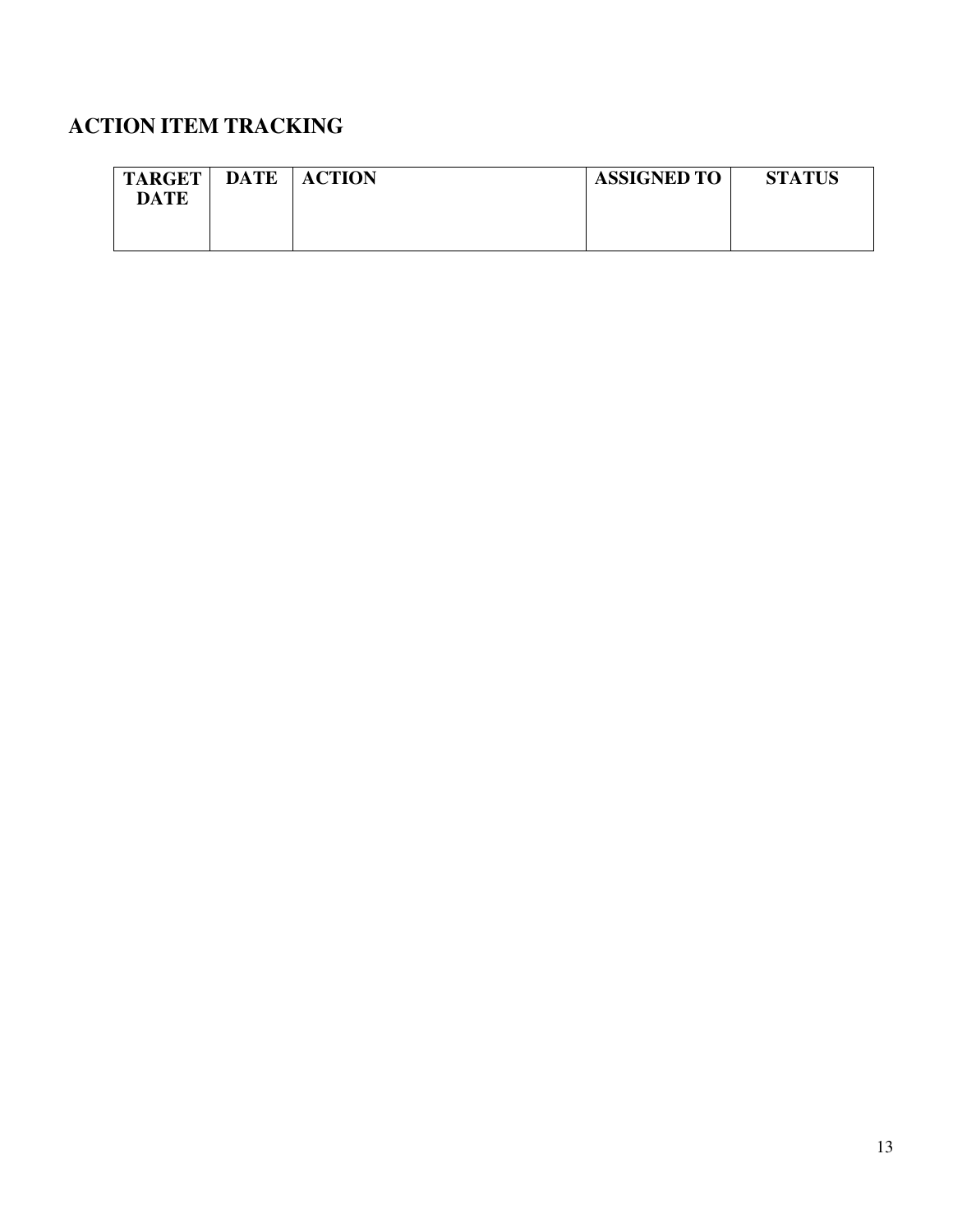| <b>TARGET</b><br>DATE | <b>DATE</b> | <b>ACTION</b> | <b>ASSIGNED TO</b> | <b>STATUS</b> |
|-----------------------|-------------|---------------|--------------------|---------------|
|                       |             |               |                    |               |
|                       |             |               |                    |               |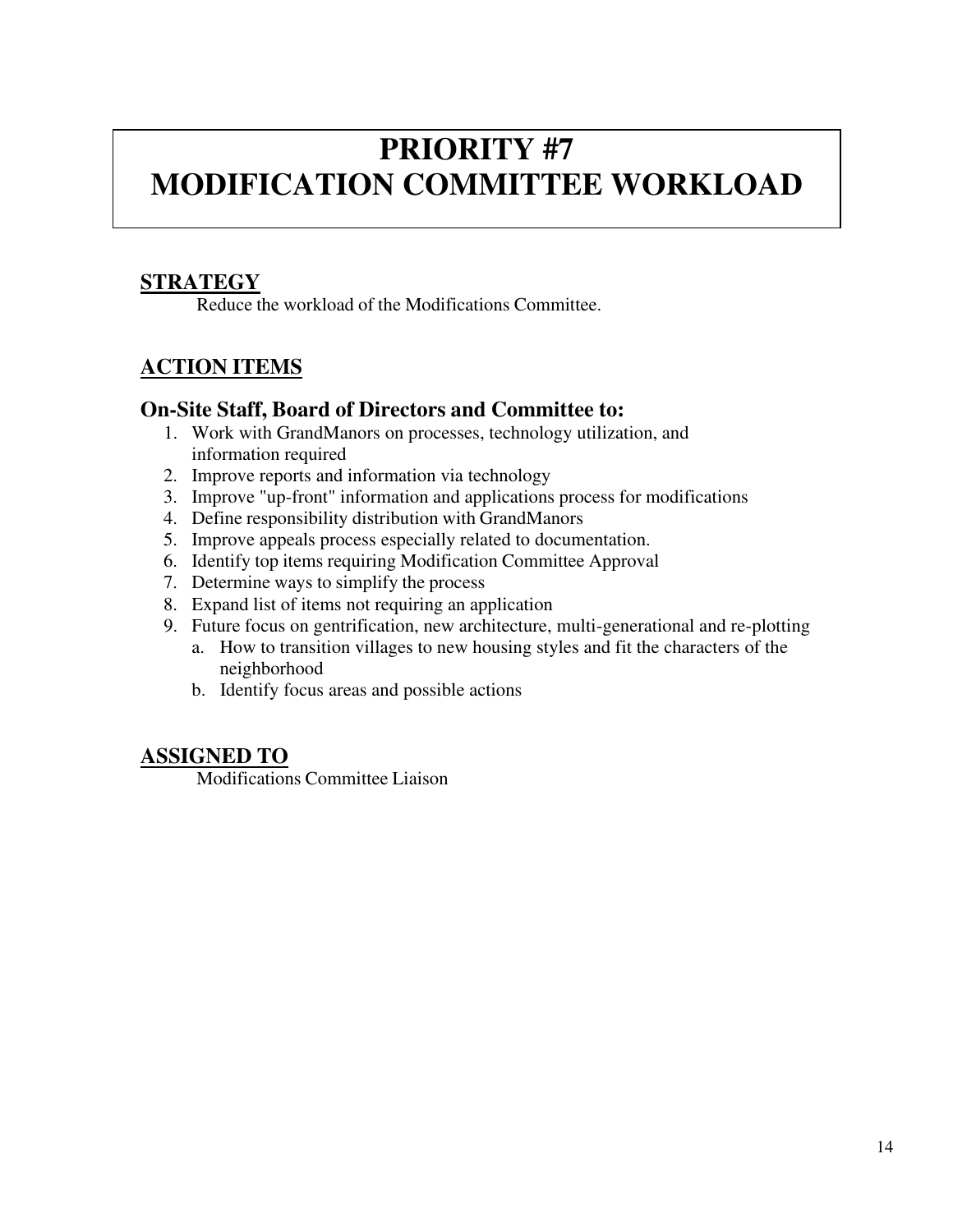### **PRIORITY #7 MODIFICATION COMMITTEE WORKLOAD**

#### **STRATEGY**

Reduce the workload of the Modifications Committee.

#### **ACTION ITEMS**

#### **On-Site Staff, Board of Directors and Committee to:**

- 1. Work with GrandManors on processes, technology utilization, and information required
- 2. Improve reports and information via technology
- 3. Improve "up-front" information and applications process for modifications
- 4. Define responsibility distribution with GrandManors
- 5. Improve appeals process especially related to documentation.
- 6. Identify top items requiring Modification Committee Approval
- 7. Determine ways to simplify the process
- 8. Expand list of items not requiring an application
- 9. Future focus on gentrification, new architecture, multi-generational and re- plotting
	- a. How to transition villages to new housing styles and fit the characters of the neighborhood
	- b. Identify focus areas and possible actions

#### **ASSIGNED TO**

Modifications Committee Liaison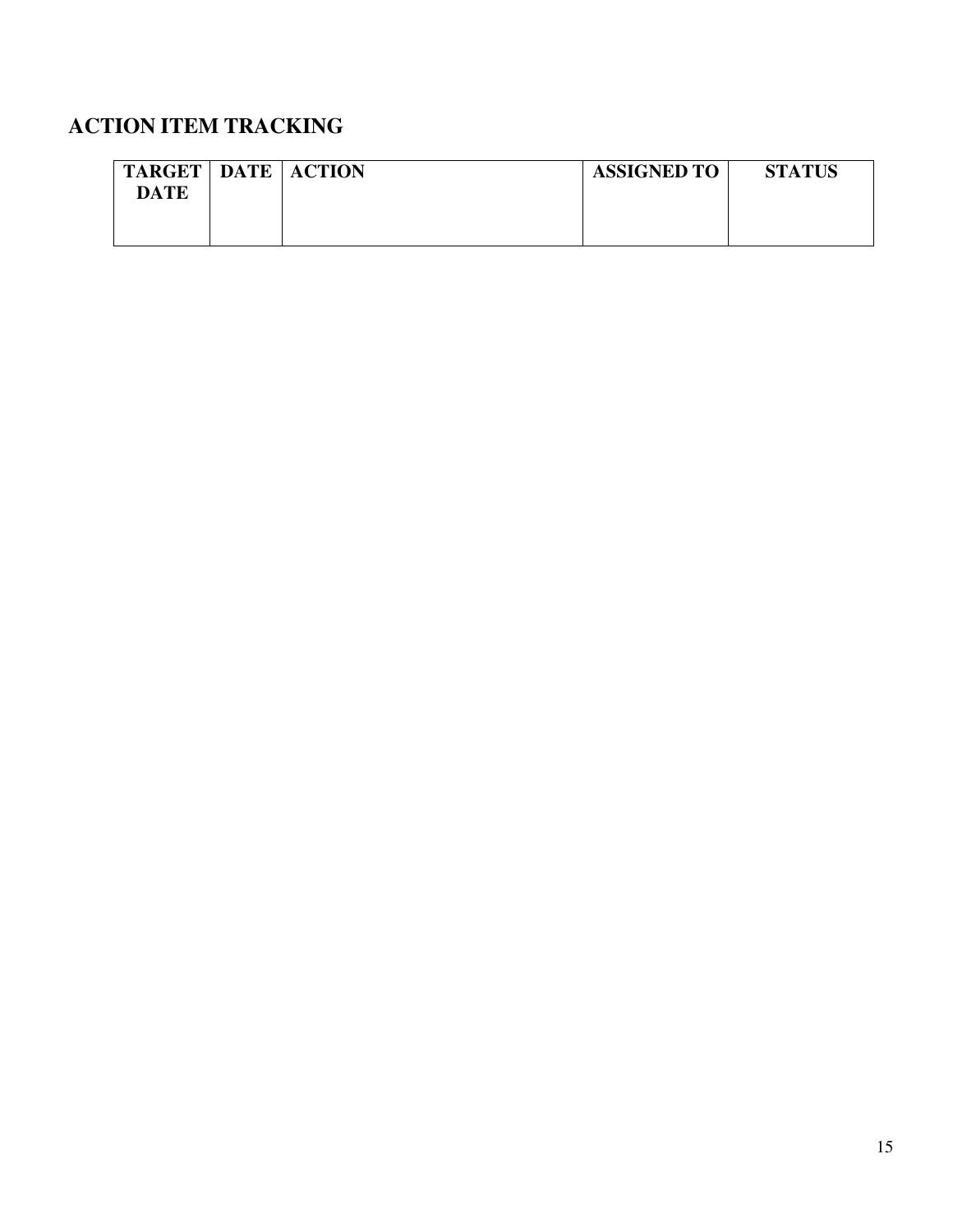| <b>TARGET</b> | <b>DATE ACTION</b> | <b>ASSIGNED TO</b> | <b>STATUS</b> |
|---------------|--------------------|--------------------|---------------|
| DATE          |                    |                    |               |
|               |                    |                    |               |
|               |                    |                    |               |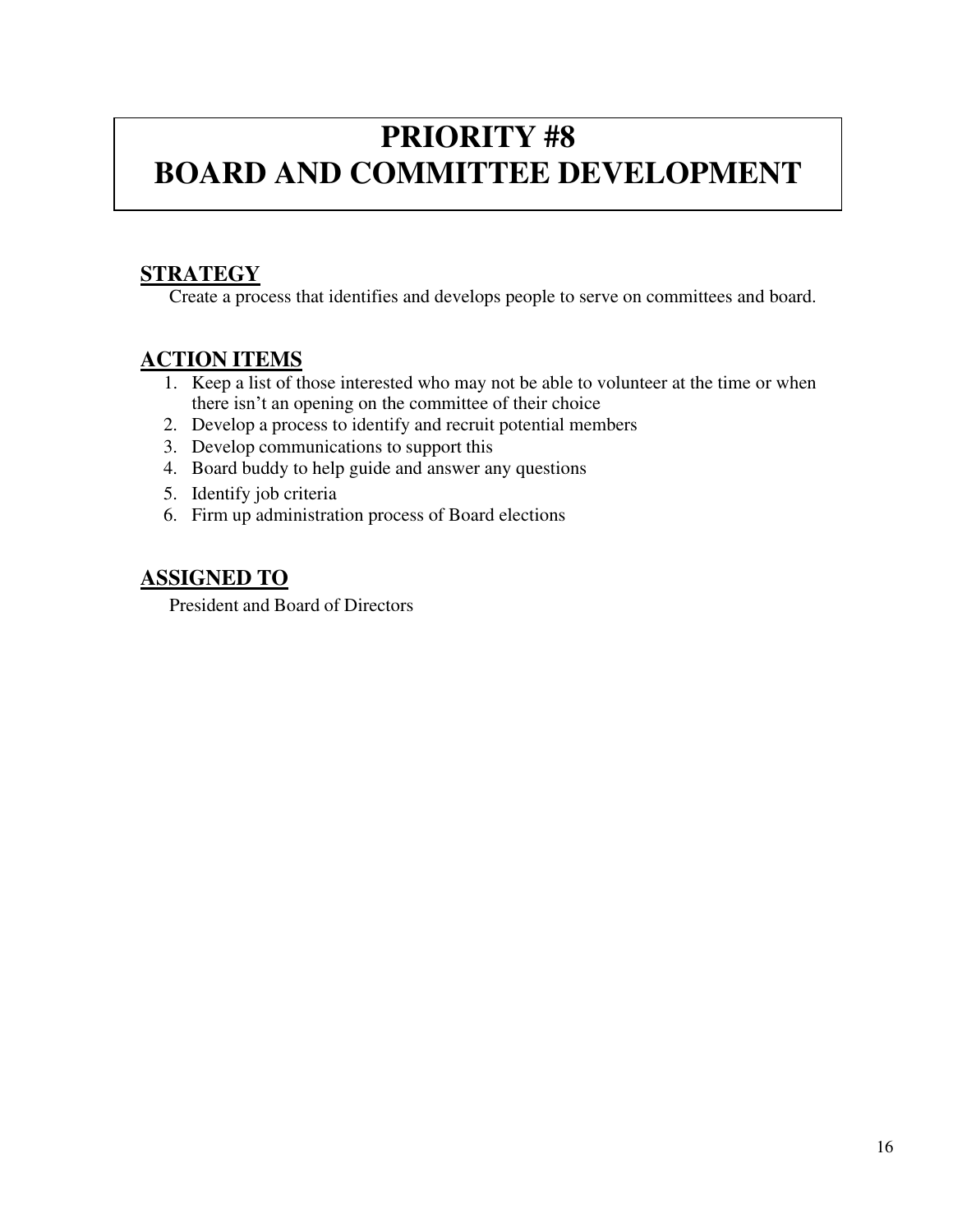### **PRIORITY #8 BOARD AND COMMITTEE DEVELOPMENT**

#### **STRATEGY**

Create a process that identifies and develops people to serve on committees and board.

#### **ACTION ITEMS**

- 1. Keep a list of those interested who may not be able to volunteer at the time or when there isn't an opening on the committee of their choice
- 2. Develop a process to identify and recruit potential members
- 3. Develop communications to support this
- 4. Board buddy to help guide and answer any questions
- 5. Identify job criteria
- 6. Firm up administration process of Board elections

#### **ASSIGNED TO**

President and Board of Directors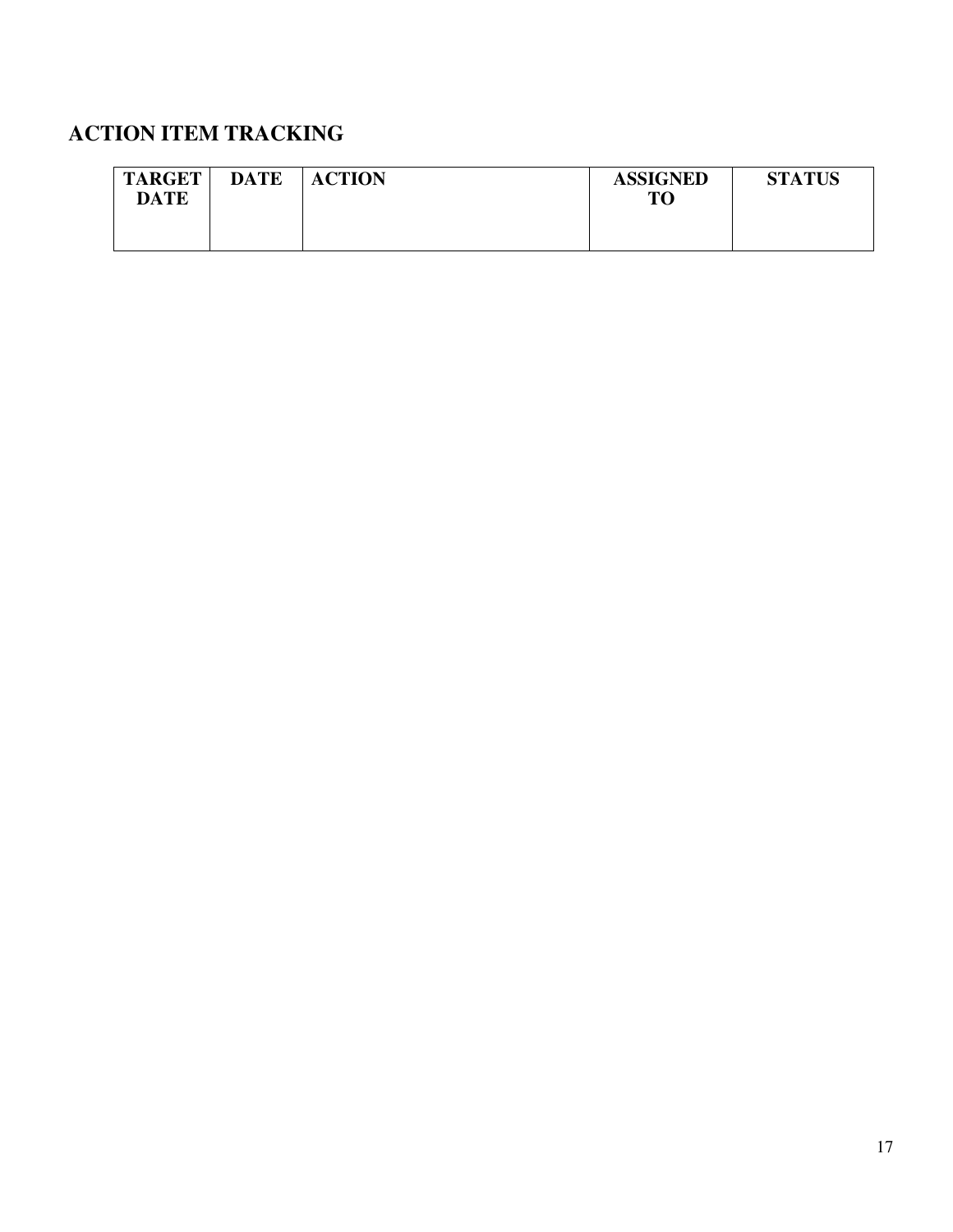| <b>TARGET</b><br><b>DATE</b> | <b>DATE</b> | <b>ACTION</b> | <b>ASSIGNED</b><br><b>TO</b> | <b>STATUS</b> |
|------------------------------|-------------|---------------|------------------------------|---------------|
|                              |             |               |                              |               |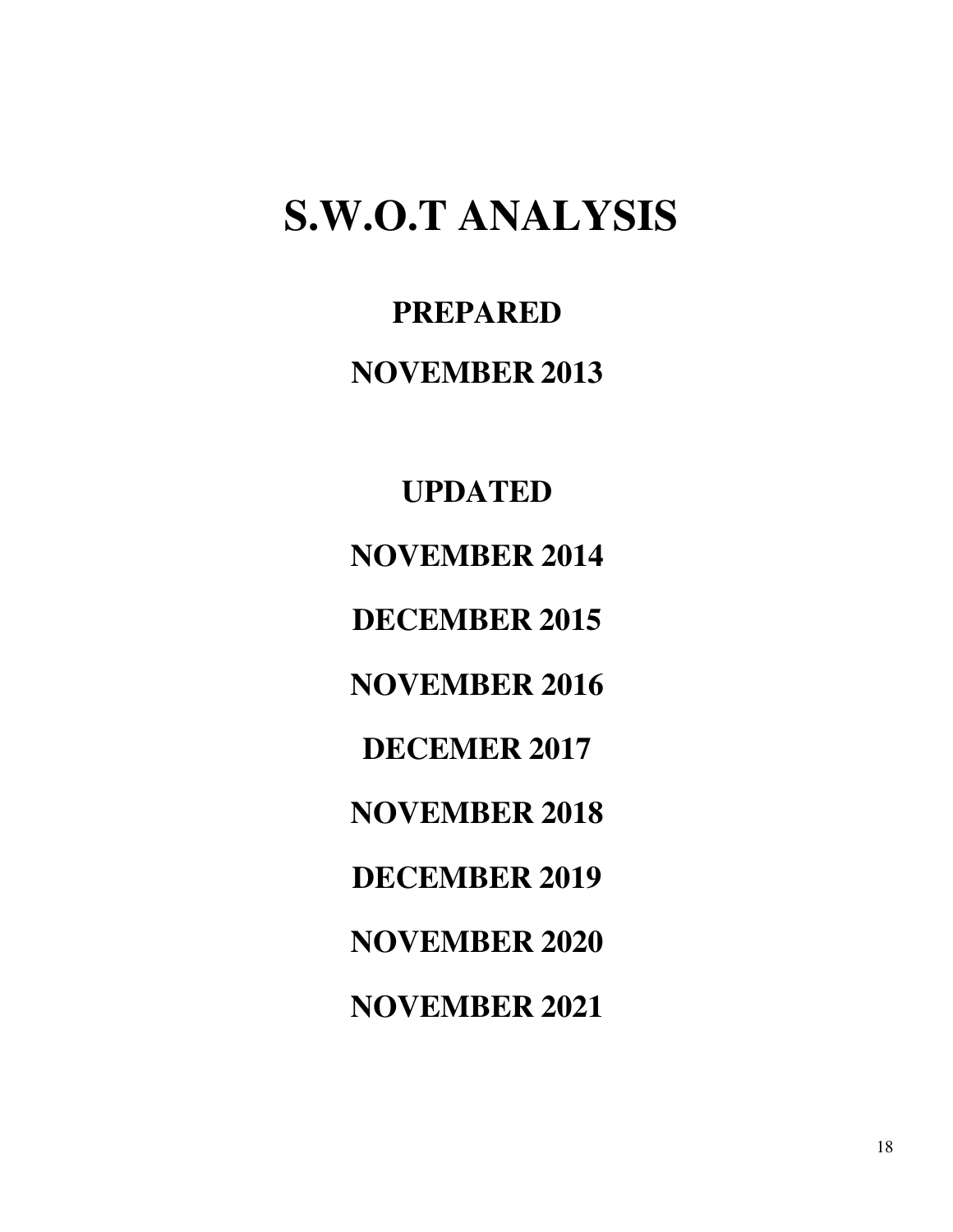## <span id="page-20-0"></span>**S.W.O.T ANALYSIS**

**PREPARED NOVEMBER 2013** 

**UPDATED NOVEMBER 2014 DECEMBER 2015 NOVEMBER 2016 DECEMER 2017 NOVEMBER 2018 DECEMBER 2019 NOVEMBER 2020 NOVEMBER 2021**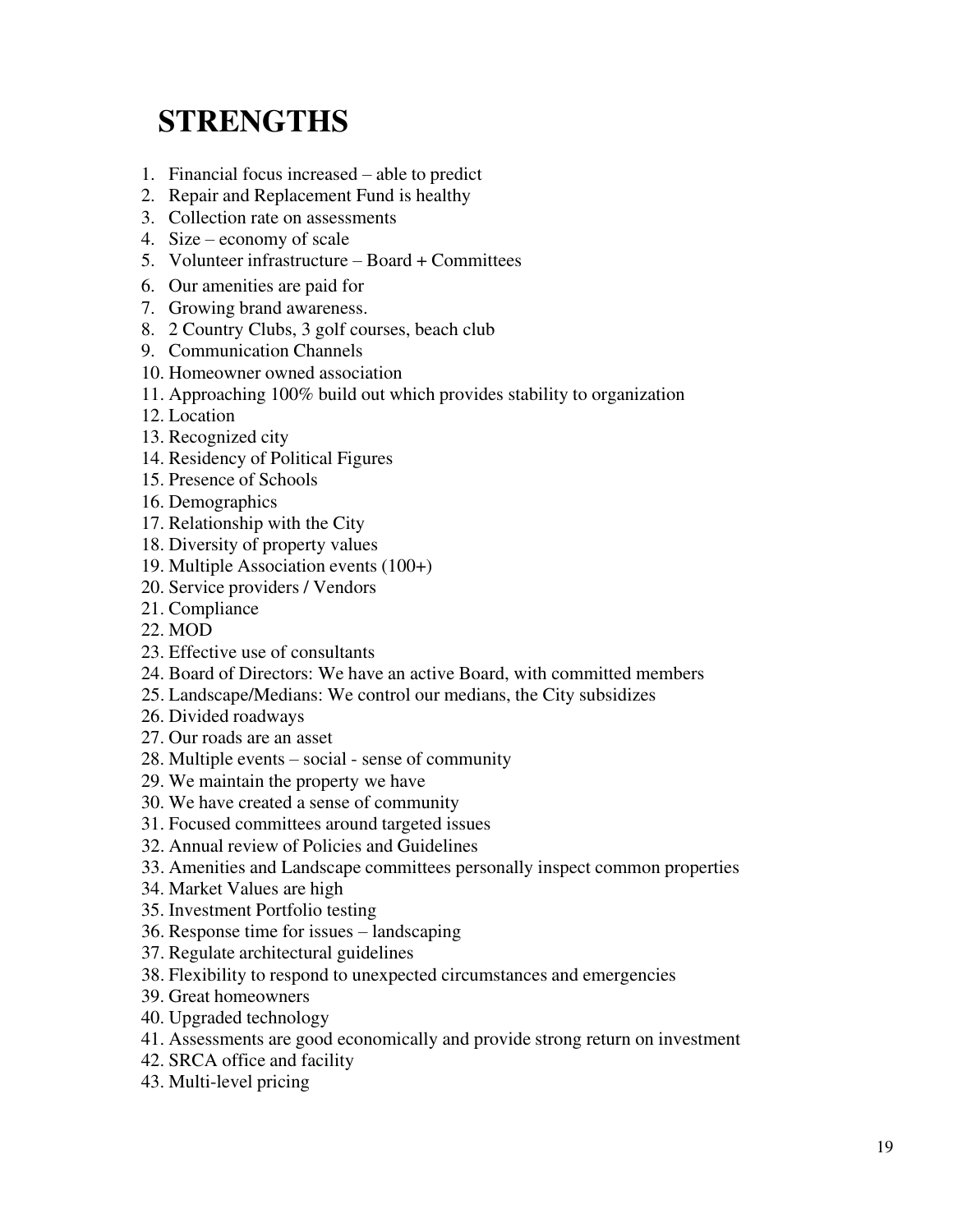### <span id="page-21-0"></span>**STRENGTHS**

- 1. Financial focus increased able to predict
- 2. Repair and Replacement Fund is healthy
- 3. Collection rate on assessments
- 4. Size economy of scale
- 5. Volunteer infrastructure Board + Committees
- 6. Our amenities are paid for
- 7. Growing brand awareness.
- 8. 2 Country Clubs, 3 golf courses, beach club
- 9. Communication Channels
- 10. Homeowner owned association
- 11. Approaching 100% build out which provides stability to organization
- 12. Location
- 13. Recognized city
- 14. Residency of Political Figures
- 15. Presence of Schools
- 16. Demographics
- 17. Relationship with the City
- 18. Diversity of property values
- 19. Multiple Association events (100+)
- 20. Service providers / Vendors
- 21. Compliance
- 22. MOD
- 23. Effective use of consultants
- 24. Board of Directors: We have an active Board, with committed members
- 25. Landscape/Medians: We control our medians, the City subsidizes
- 26. Divided roadways
- 27. Our roads are an asset
- 28. Multiple events social sense of community
- 29. We maintain the property we have
- 30. We have created a sense of community
- 31. Focused committees around targeted issues
- 32. Annual review of Policies and Guidelines
- 33. Amenities and Landscape committees personally inspect common properties
- 34. Market Values are high
- 35. Investment Portfolio testing
- 36. Response time for issues landscaping
- 37. Regulate architectural guidelines
- 38. Flexibility to respond to unexpected circumstances and emergencies
- 39. Great homeowners
- 40. Upgraded technology
- 41. Assessments are good economically and provide strong return on investment
- 42. SRCA office and facility
- 43. Multi-level pricing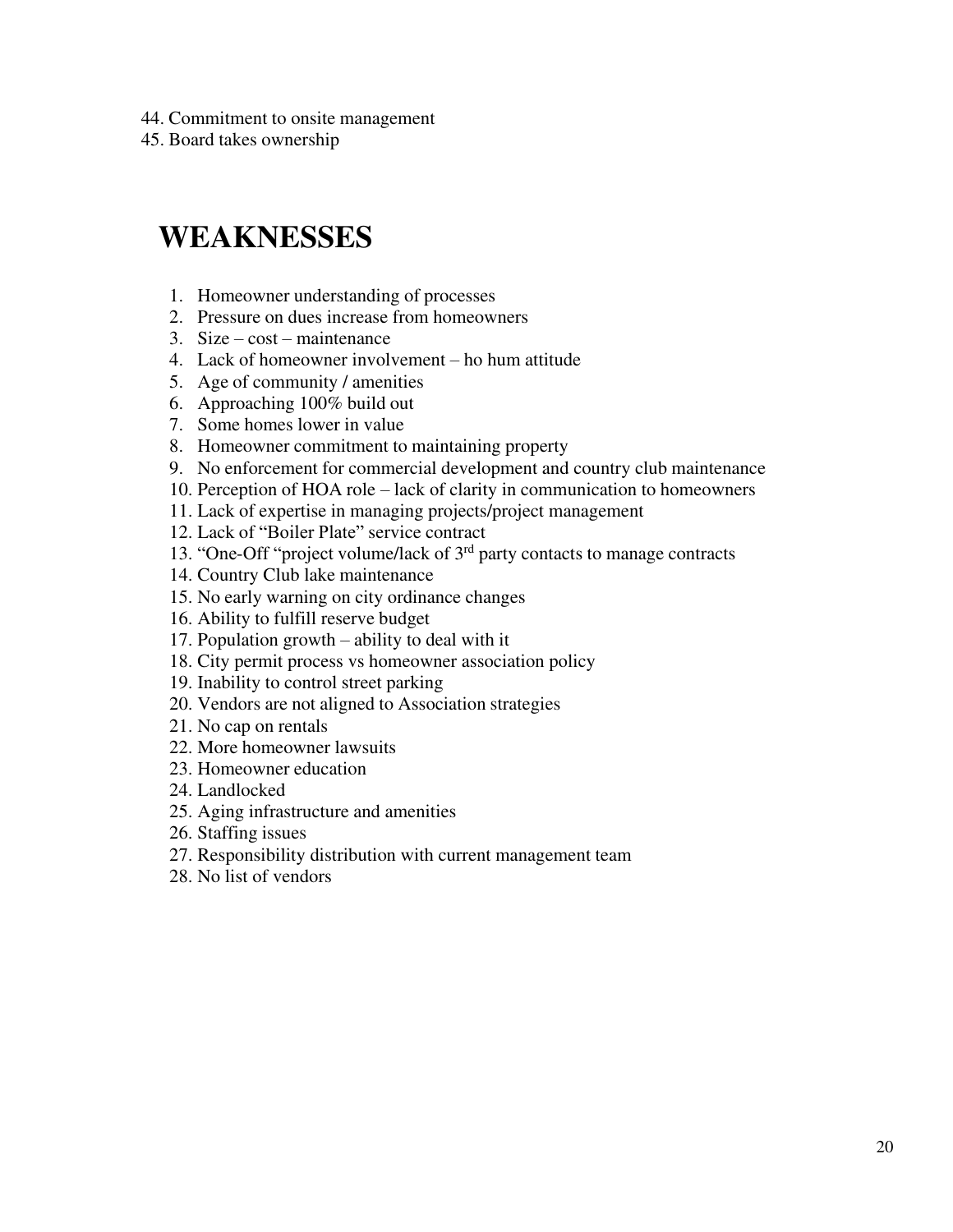44. Commitment to onsite management

45. Board takes ownership

### <span id="page-22-0"></span>**WEAKNESSES**

- 1. Homeowner understanding of processes
- 2. Pressure on dues increase from homeowners
- 3. Size cost maintenance
- 4. Lack of homeowner involvement ho hum attitude
- 5. Age of community / amenities
- 6. Approaching 100% build out
- 7. Some homes lower in value
- 8. Homeowner commitment to maintaining property
- 9. No enforcement for commercial development and country club maintenance
- 10. Perception of HOA role lack of clarity in communication to homeowners
- 11. Lack of expertise in managing projects/project management
- 12. Lack of "Boiler Plate" service contract
- 13. "One-Off "project volume/lack of 3rd party contacts to manage contracts
- 14. Country Club lake maintenance
- 15. No early warning on city ordinance changes
- 16. Ability to fulfill reserve budget
- 17. Population growth ability to deal with it
- 18. City permit process vs homeowner association policy
- 19. Inability to control street parking
- 20. Vendors are not aligned to Association strategies
- 21. No cap on rentals
- 22. More homeowner lawsuits
- 23. Homeowner education
- 24. Landlocked
- 25. Aging infrastructure and amenities
- 26. Staffing issues
- 27. Responsibility distribution with current management team
- 28. No list of vendors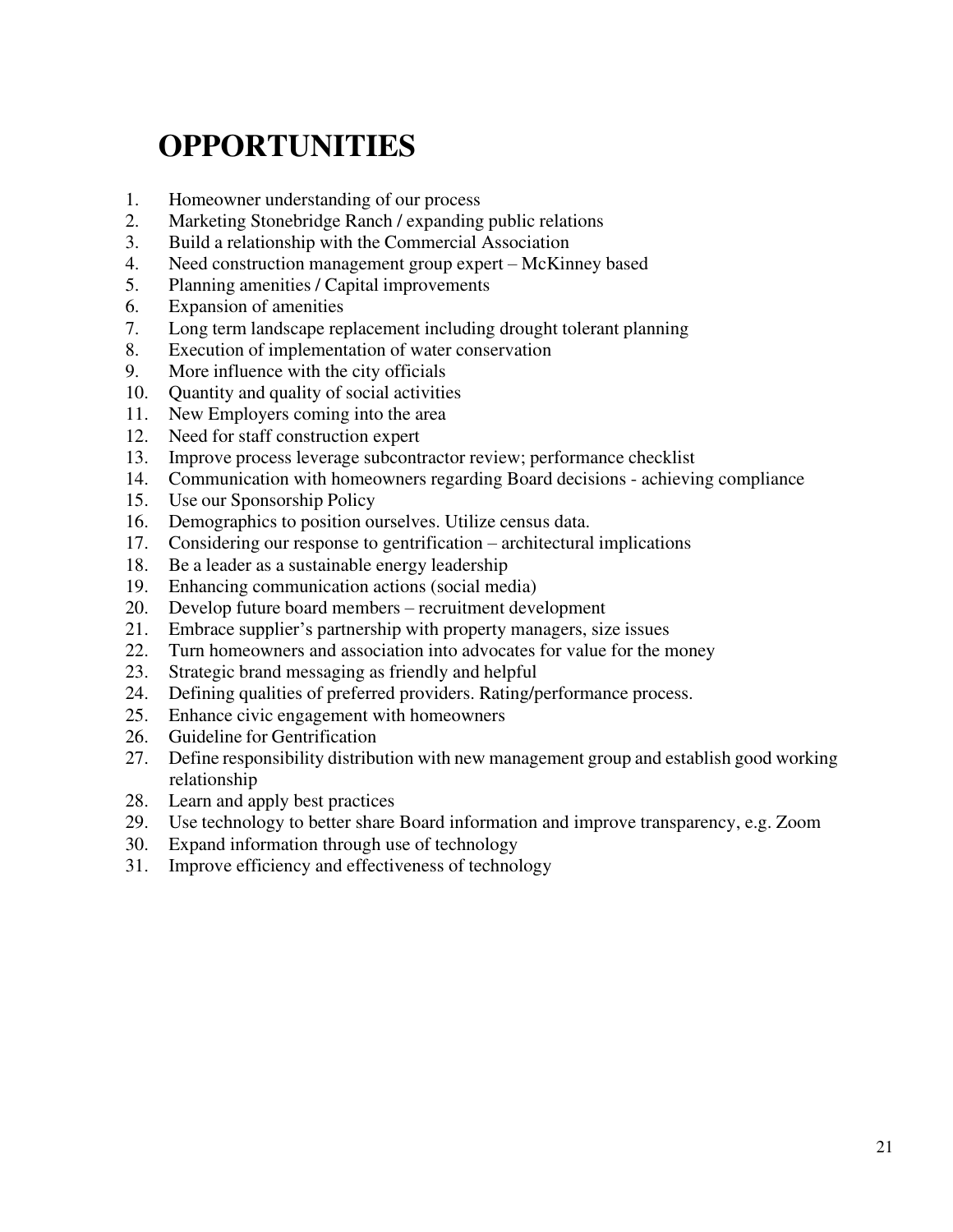### **OPPORTUNITIES**

- <span id="page-23-0"></span>1. Homeowner understanding of our process
- 2. Marketing Stonebridge Ranch / expanding public relations
- 3. Build a relationship with the Commercial Association
- 4. Need construction management group expert McKinney based
- 5. Planning amenities / Capital improvements
- 6. Expansion of amenities
- 7. Long term landscape replacement including drought tolerant planning
- 8. Execution of implementation of water conservation
- 9. More influence with the city officials
- 10. Quantity and quality of social activities
- 11. New Employers coming into the area
- 12. Need for staff construction expert
- 13. Improve process leverage subcontractor review; performance checklist
- 14. Communication with homeowners regarding Board decisions achieving compliance
- 15. Use our Sponsorship Policy
- 16. Demographics to position ourselves. Utilize census data.
- 17. Considering our response to gentrification architectural implications
- 18. Be a leader as a sustainable energy leadership
- 19. Enhancing communication actions (social media)
- 20. Develop future board members recruitment development
- 21. Embrace supplier's partnership with property managers, size issues
- 22. Turn homeowners and association into advocates for value for the money
- 23. Strategic brand messaging as friendly and helpful
- 24. Defining qualities of preferred providers. Rating/performance process.
- 25. Enhance civic engagement with homeowners
- 26. Guideline for Gentrification
- 27. Define responsibility distribution with new management group and establish good working relationship
- 28. Learn and apply best practices
- 29. Use technology to better share Board information and improve transparency, e.g. Zoom
- 30. Expand information through use of technology
- 31. Improve efficiency and effectiveness of technology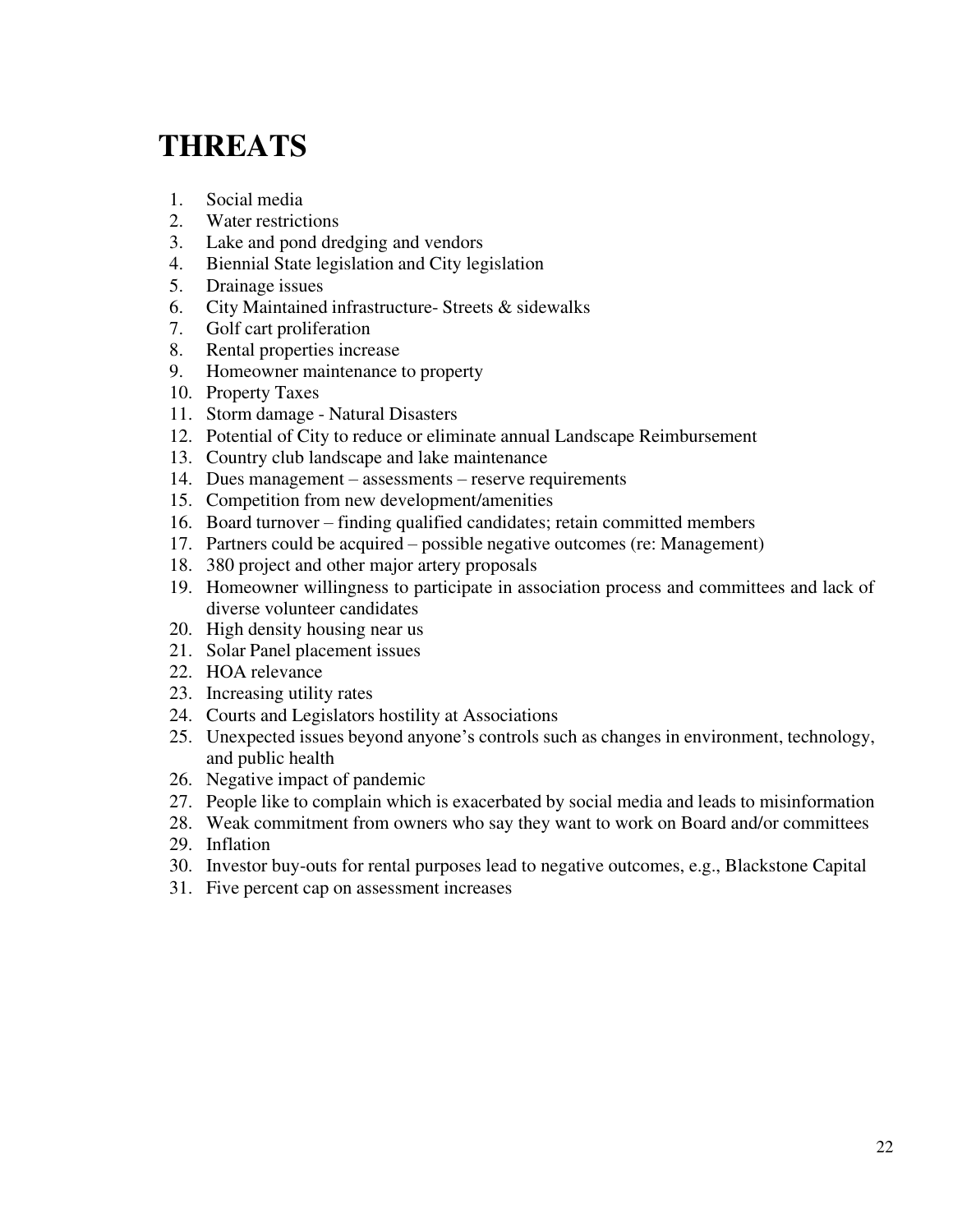### <span id="page-24-0"></span>**THREATS**

- 1. Social media
- 2. Water restrictions
- 3. Lake and pond dredging and vendors
- 4. Biennial State legislation and City legislation
- 5. Drainage issues
- 6. City Maintained infrastructure- Streets & sidewalks
- 7. Golf cart proliferation
- 8. Rental properties increase
- 9. Homeowner maintenance to property
- 10. Property Taxes
- 11. Storm damage Natural Disasters
- 12. Potential of City to reduce or eliminate annual Landscape Reimbursement
- 13. Country club landscape and lake maintenance
- 14. Dues management assessments reserve requirements
- 15. Competition from new development/amenities
- 16. Board turnover finding qualified candidates; retain committed members
- 17. Partners could be acquired possible negative outcomes (re: Management)
- 18. 380 project and other major artery proposals
- 19. Homeowner willingness to participate in association process and committees and lack of diverse volunteer candidates
- 20. High density housing near us
- 21. Solar Panel placement issues
- 22. HOA relevance
- 23. Increasing utility rates
- 24. Courts and Legislators hostility at Associations
- 25. Unexpected issues beyond anyone's controls such as changes in environment, technology, and public health
- 26. Negative impact of pandemic
- 27. People like to complain which is exacerbated by social media and leads to misinformation
- 28. Weak commitment from owners who say they want to work on Board and/or committees
- 29. Inflation
- 30. Investor buy-outs for rental purposes lead to negative outcomes, e.g., Blackstone Capital
- 31. Five percent cap on assessment increases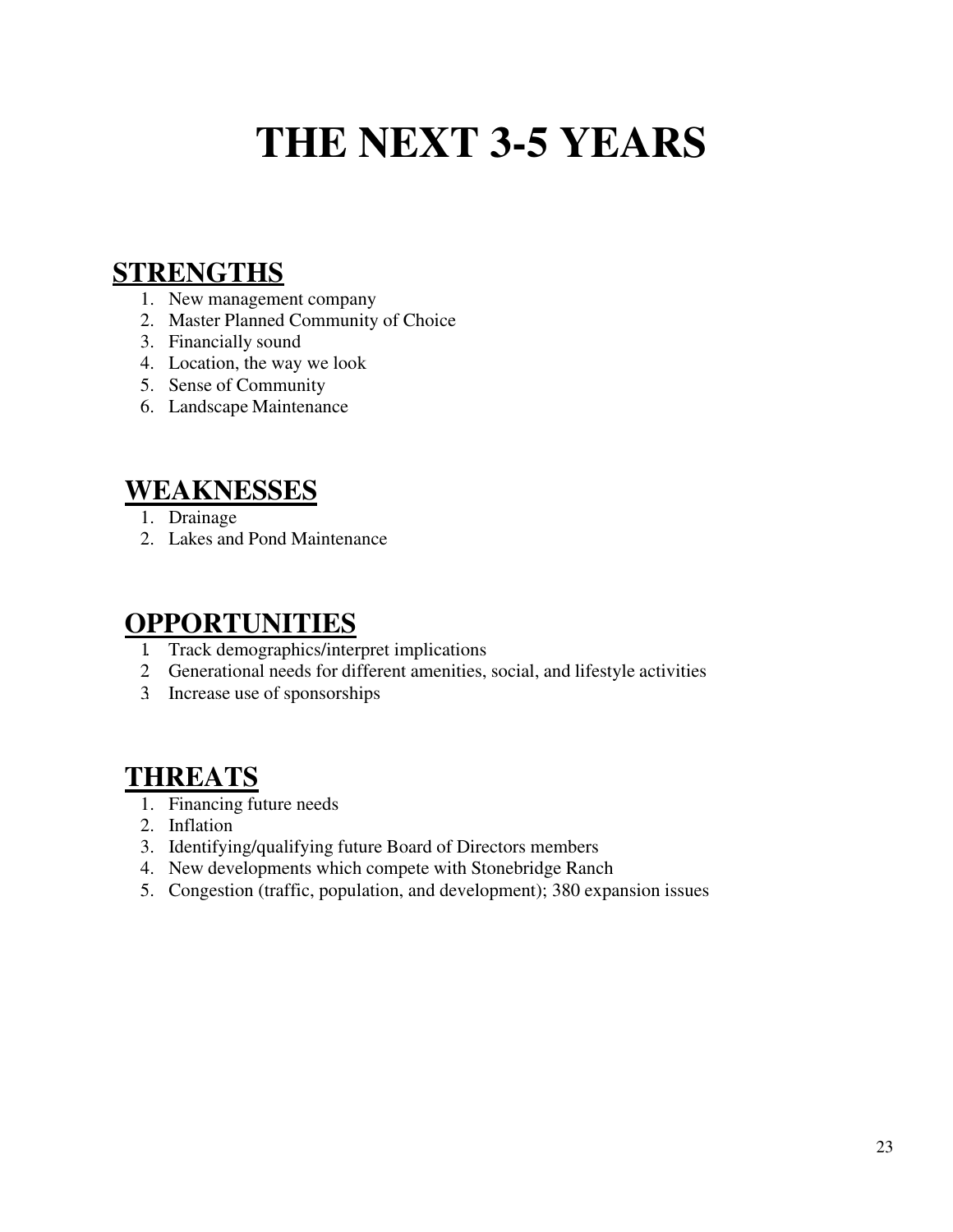## **THE NEXT 3-5 YEARS**

#### <span id="page-25-0"></span>**STRENGTHS**

- 1. New management company
- 2. Master Planned Community of Choice
- 3. Financially sound
- 4. Location, the way we look
- 5. Sense of Community
- 6. Landscape Maintenance

#### **WEAKNESSES**

- 1. Drainage
- 2. Lakes and Pond Maintenance

#### **OPPORTUNITIES**

- 1. Track demographics/interpret implications
- 2. Generational needs for different amenities, social, and lifestyle activities
- 3. Increase use of sponsorships

#### **THREATS**

- 1. Financing future needs
- 2. Inflation
- 3. Identifying/qualifying future Board of Directors members
- 4. New developments which compete with Stonebridge Ranch
- 5. Congestion (traffic, population, and development); 380 expansion issues